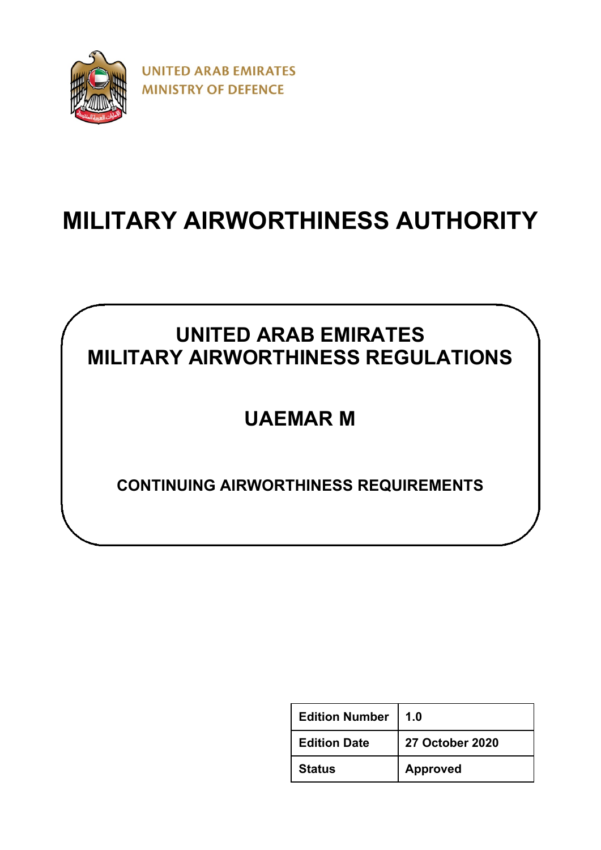

# **MILITARY AIRWORTHINESS AUTHORITY**

# **UNITED ARAB EMIRATES MILITARY AIRWORTHINESS REGULATIONS**

# **UAEMAR M**

**CONTINUING AIRWORTHINESS REQUIREMENTS**

| <b>Edition Number</b> | 1.0                    |
|-----------------------|------------------------|
| <b>Edition Date</b>   | <b>27 October 2020</b> |
| <b>Status</b>         | <b>Approved</b>        |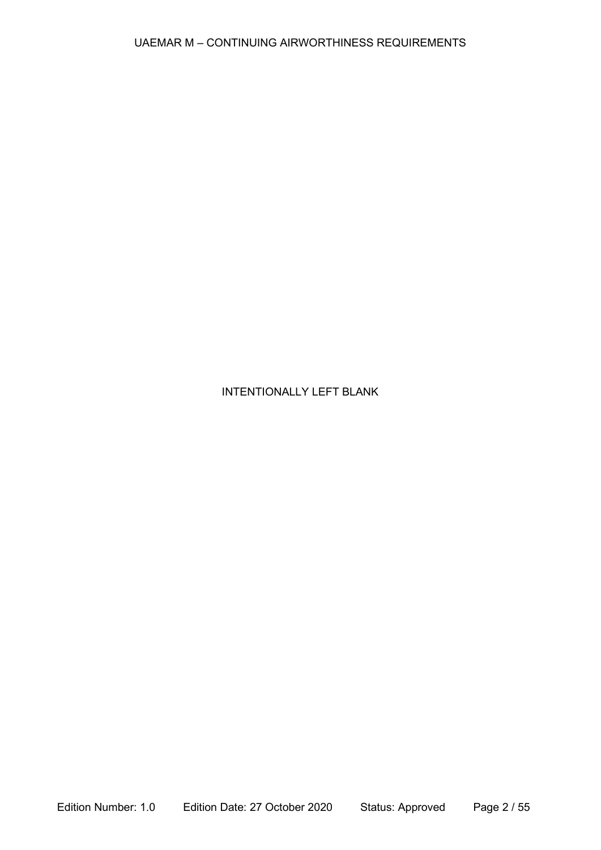# INTENTIONALLY LEFT BLANK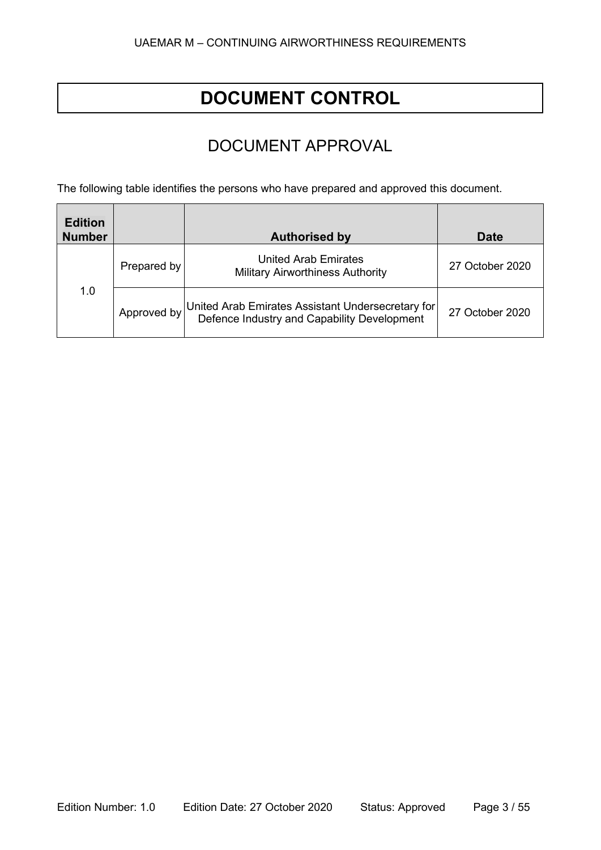# **DOCUMENT CONTROL**

# DOCUMENT APPROVAL

The following table identifies the persons who have prepared and approved this document.

| <b>Edition</b><br><b>Number</b> |             | <b>Authorised by</b>                                                                             | Date            |
|---------------------------------|-------------|--------------------------------------------------------------------------------------------------|-----------------|
|                                 | Prepared by | United Arab Emirates<br><b>Military Airworthiness Authority</b>                                  | 27 October 2020 |
| 1.0                             | Approved by | United Arab Emirates Assistant Undersecretary for<br>Defence Industry and Capability Development | 27 October 2020 |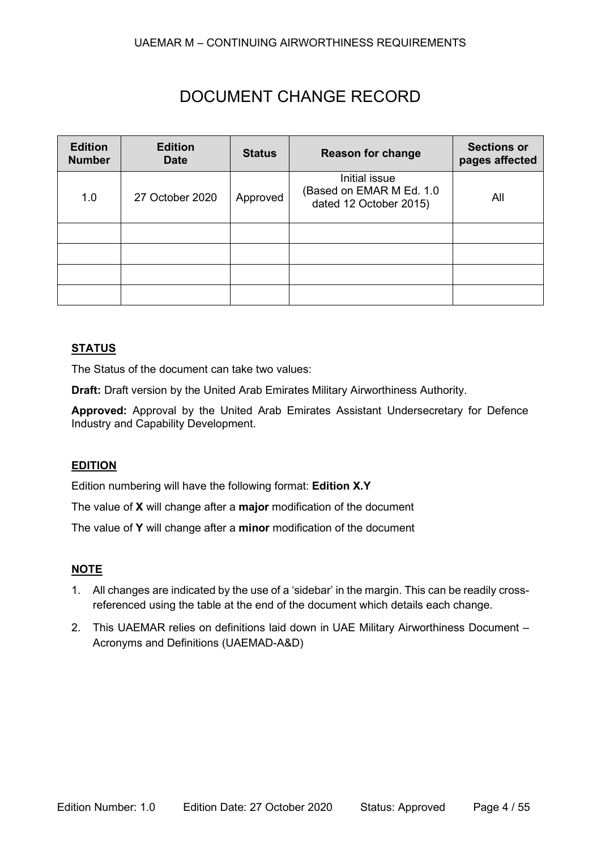# DOCUMENT CHANGE RECORD

| <b>Edition</b><br><b>Number</b> | <b>Edition</b><br><b>Date</b> | <b>Status</b> | <b>Reason for change</b>                                            | <b>Sections or</b><br>pages affected |
|---------------------------------|-------------------------------|---------------|---------------------------------------------------------------------|--------------------------------------|
| 1.0                             | 27 October 2020               | Approved      | Initial issue<br>(Based on EMAR M Ed. 1.0<br>dated 12 October 2015) | All                                  |
|                                 |                               |               |                                                                     |                                      |
|                                 |                               |               |                                                                     |                                      |
|                                 |                               |               |                                                                     |                                      |
|                                 |                               |               |                                                                     |                                      |

# **STATUS**

The Status of the document can take two values:

**Draft:** Draft version by the United Arab Emirates Military Airworthiness Authority.

**Approved:** Approval by the United Arab Emirates Assistant Undersecretary for Defence Industry and Capability Development.

## **EDITION**

Edition numbering will have the following format: **Edition X.Y**

The value of **X** will change after a **major** modification of the document

The value of **Y** will change after a **minor** modification of the document

### **NOTE**

- 1. All changes are indicated by the use of a 'sidebar' in the margin. This can be readily crossreferenced using the table at the end of the document which details each change.
- 2. This UAEMAR relies on definitions laid down in UAE Military Airworthiness Document Acronyms and Definitions (UAEMAD-A&D)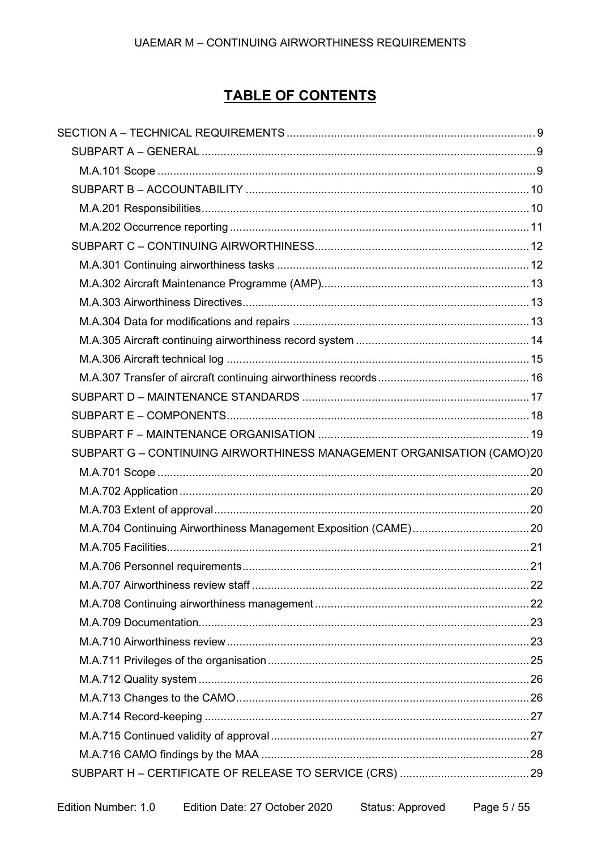# **TABLE OF CONTENTS**

| SUBPART G - CONTINUING AIRWORTHINESS MANAGEMENT ORGANISATION (CAMO)20 |  |
|-----------------------------------------------------------------------|--|
|                                                                       |  |
|                                                                       |  |
|                                                                       |  |
|                                                                       |  |
|                                                                       |  |
|                                                                       |  |
|                                                                       |  |
|                                                                       |  |
|                                                                       |  |
|                                                                       |  |
|                                                                       |  |
|                                                                       |  |
|                                                                       |  |
|                                                                       |  |
|                                                                       |  |
|                                                                       |  |
|                                                                       |  |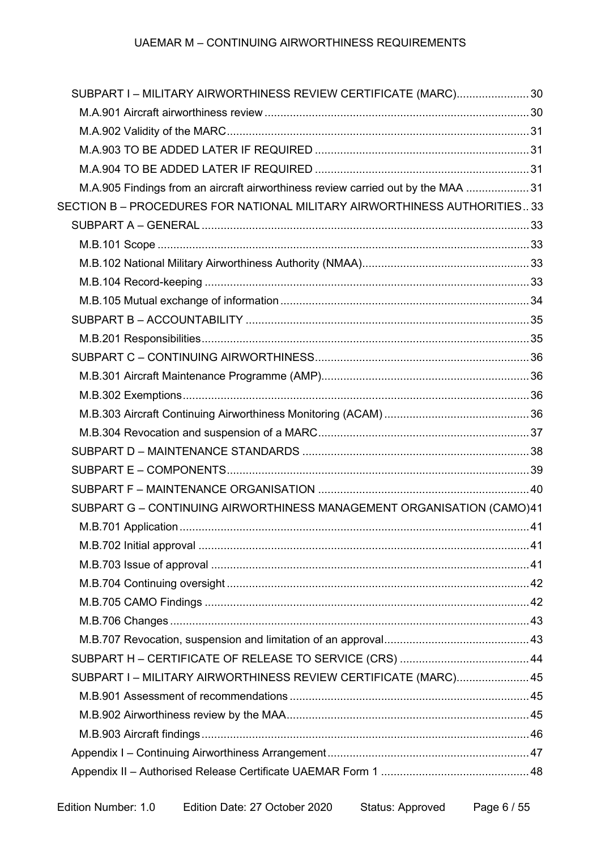| M.A.905 Findings from an aircraft airworthiness review carried out by the MAA 31 |
|----------------------------------------------------------------------------------|
| SECTION B - PROCEDURES FOR NATIONAL MILITARY AIRWORTHINESS AUTHORITIES 33        |
|                                                                                  |
|                                                                                  |
|                                                                                  |
|                                                                                  |
|                                                                                  |
|                                                                                  |
|                                                                                  |
|                                                                                  |
|                                                                                  |
|                                                                                  |
|                                                                                  |
|                                                                                  |
|                                                                                  |
|                                                                                  |
|                                                                                  |
| SUBPART G - CONTINUING AIRWORTHINESS MANAGEMENT ORGANISATION (CAMO)41            |
|                                                                                  |
|                                                                                  |
|                                                                                  |
|                                                                                  |
|                                                                                  |
|                                                                                  |
|                                                                                  |
|                                                                                  |
| SUBPART I-MILITARY AIRWORTHINESS REVIEW CERTIFICATE (MARC) 45                    |
|                                                                                  |
|                                                                                  |
|                                                                                  |
|                                                                                  |
|                                                                                  |
|                                                                                  |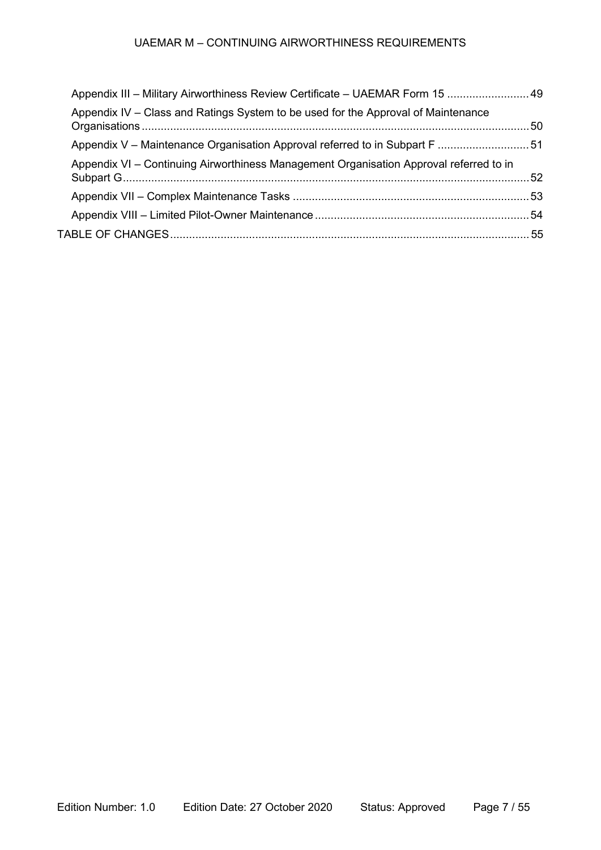#### UAEMAR M – CONTINUING AIRWORTHINESS REQUIREMENTS

| Appendix III - Military Airworthiness Review Certificate - UAEMAR Form 15  49          |  |
|----------------------------------------------------------------------------------------|--|
| Appendix IV – Class and Ratings System to be used for the Approval of Maintenance      |  |
| Appendix V - Maintenance Organisation Approval referred to in Subpart F  51            |  |
| Appendix VI – Continuing Airworthiness Management Organisation Approval referred to in |  |
|                                                                                        |  |
|                                                                                        |  |
|                                                                                        |  |
|                                                                                        |  |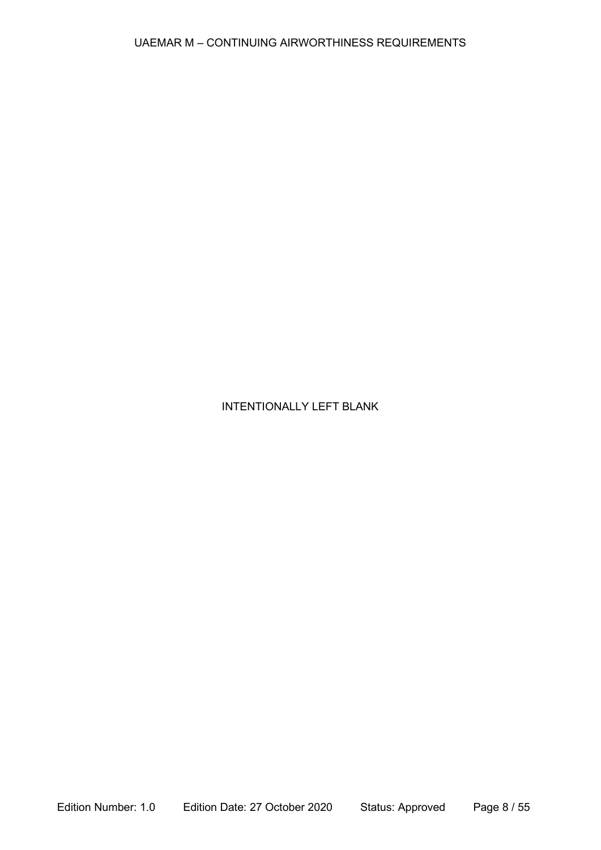# INTENTIONALLY LEFT BLANK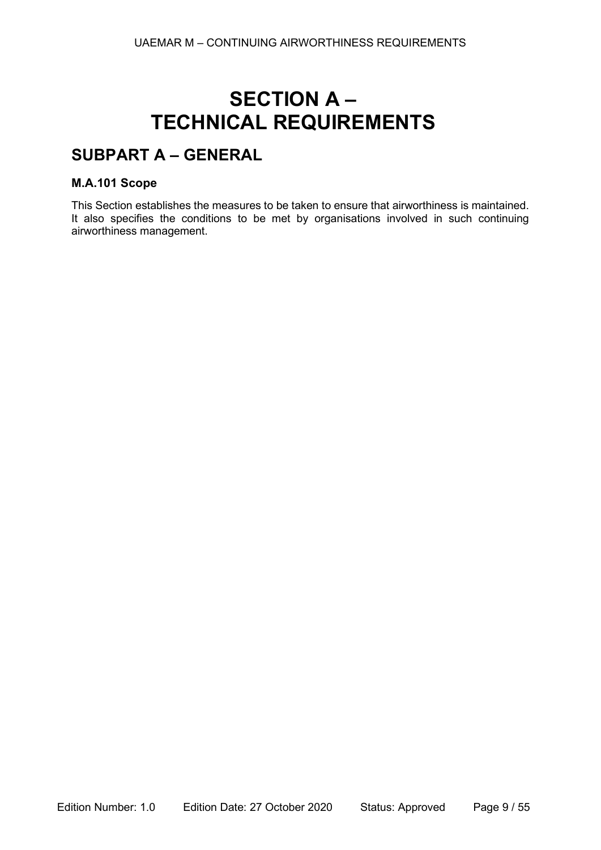# **SECTION A – TECHNICAL REQUIREMENTS**

# <span id="page-8-1"></span><span id="page-8-0"></span>**SUBPART A – GENERAL**

## <span id="page-8-2"></span>**M.A.101 Scope**

<span id="page-8-3"></span>This Section establishes the measures to be taken to ensure that airworthiness is maintained. It also specifies the conditions to be met by organisations involved in such continuing airworthiness management.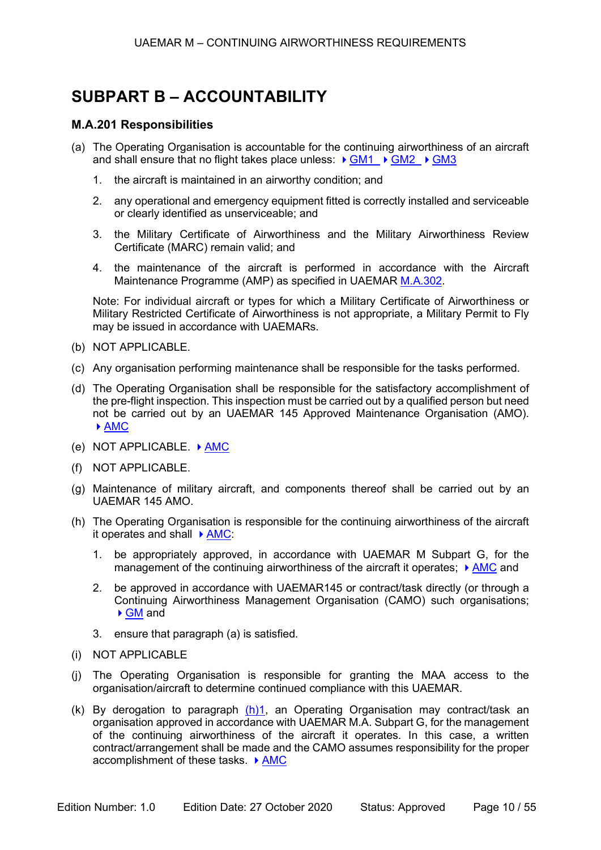# <span id="page-9-0"></span>**SUBPART B – ACCOUNTABILITY**

### <span id="page-9-1"></span>**M.A.201 Responsibilities**

- (a) The Operating Organisation is accountable for the continuing airworthiness of an aircraft and shall ensure that no flight takes place unless:  $\rightarrow$  GM1  $\rightarrow$  GM2  $\rightarrow$  GM3
	- 1. the aircraft is maintained in an airworthy condition; and
	- 2. any operational and emergency equipment fitted is correctly installed and serviceable or clearly identified as unserviceable; and
	- 3. the Military Certificate of Airworthiness and the Military Airworthiness Review Certificate (MARC) remain valid; and
	- 4. the maintenance of the aircraft is performed in accordance with the Aircraft Maintenance Programme (AMP) as specified in UAEMAR M.A.302.

Note: For individual aircraft or types for which a Military Certificate of Airworthiness or Military Restricted Certificate of Airworthiness is not appropriate, a Military Permit to Fly may be issued in accordance with UAEMARs.

- (b) NOT APPLICABLE.
- (c) Any organisation performing maintenance shall be responsible for the tasks performed.
- (d) The Operating Organisation shall be responsible for the satisfactory accomplishment of the pre-flight inspection. This inspection must be carried out by a qualified person but need not be carried out by an UAEMAR 145 Approved Maintenance Organisation (AMO). ▶ AMC
- (e) NOT APPLICABLE. ▶ AMC
- (f) NOT APPLICABLE.
- (g) Maintenance of military aircraft, and components thereof shall be carried out by an UAEMAR 145 AMO.
- (h) The Operating Organisation is responsible for the continuing airworthiness of the aircraft it operates and shall  $\triangleright$  AMC:
	- 1. be appropriately approved, in accordance with UAEMAR M Subpart G, for the management of the continuing airworthiness of the aircraft it operates;  $\rightarrow$  AMC and
	- 2. be approved in accordance with UAEMAR145 or contract/task directly (or through a Continuing Airworthiness Management Organisation (CAMO) such organisations; ▶ GM and
	- 3. ensure that paragraph (a) is satisfied.
- (i) NOT APPLICABLE
- (j) The Operating Organisation is responsible for granting the MAA access to the organisation/aircraft to determine continued compliance with this UAEMAR.
- (k) By derogation to paragraph  $(h)1$ , an Operating Organisation may contract/task an organisation approved in accordance with UAEMAR M.A. Subpart G, for the management of the continuing airworthiness of the aircraft it operates. In this case, a written contract/arrangement shall be made and the CAMO assumes responsibility for the proper accomplishment of these tasks.  $\triangleright$  AMC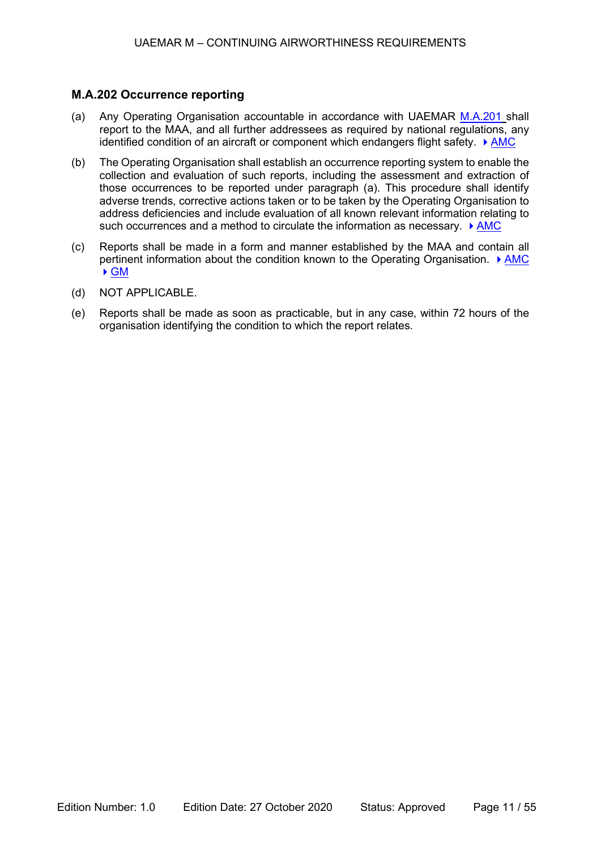### <span id="page-10-0"></span>**M.A.202 Occurrence reporting**

- (a) Any Operating Organisation accountable in accordance with [UAEMAR](#page-8-3) M.A.201 shall report to the MAA, and all further addressees as required by national regulations, any identified condition of an aircraft or component which endangers flight safety.  $\triangleright$  AMC
- (b) The Operating Organisation shall establish an occurrence reporting system to enable the collection and evaluation of such reports, including the assessment and extraction of those occurrences to be reported under paragraph (a). This procedure shall identify adverse trends, corrective actions taken or to be taken by the Operating Organisation to address deficiencies and include evaluation of all known relevant information relating to such occurrences and a method to circulate the information as necessary.  $\triangleright$  AMC
- (c) Reports shall be made in a form and manner established by the MAA and contain all pertinent information about the condition known to the Operating Organisation.  $\triangleright$  AMC GM
- (d) NOT APPLICABLE.
- (e) Reports shall be made as soon as practicable, but in any case, within 72 hours of the organisation identifying the condition to which the report relates.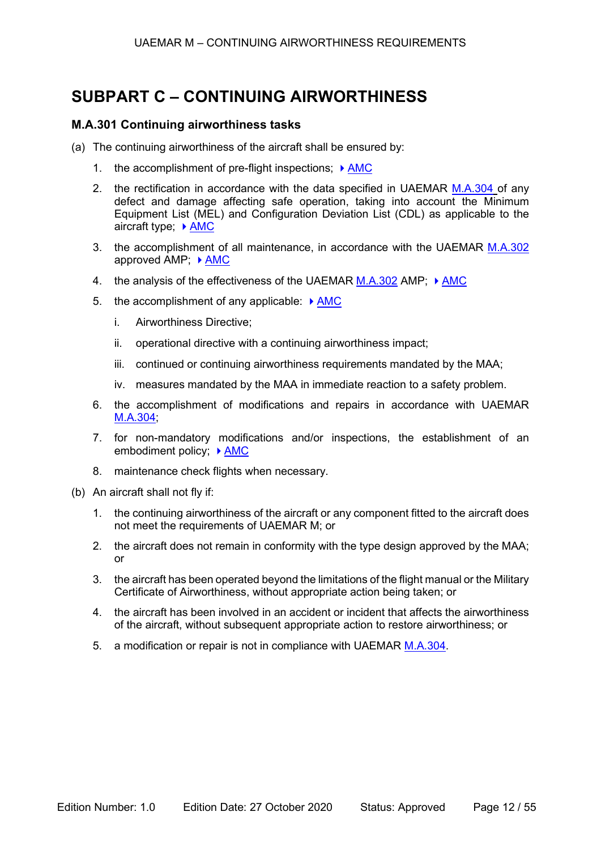# <span id="page-11-0"></span>**SUBPART C – CONTINUING AIRWORTHINESS**

### <span id="page-11-1"></span>**M.A.301 Continuing airworthiness tasks**

- (a) The continuing airworthiness of the aircraft shall be ensured by:
	- 1. the accomplishment of pre-flight inspections;  $\triangleright$  AMC
	- 2. the rectification in accordance with the data specified in UAEMAR M.A.304 of any defect and damage affecting safe operation, taking into account the Minimum Equipment List (MEL) and Configuration Deviation List (CDL) as applicable to the aircraft type; ▶ AMC
	- 3. the accomplishment of all maintenance, in accordance with the UAEMAR M.A.302 approved AMP; ▶ AMC
	- 4. the analysis of the effectiveness of the UAEMAR M.A.302 AMP;  $\rightarrow$  AMC
	- 5. the accomplishment of any applicable:  $\triangleright$  AMC
		- i. Airworthiness Directive;
		- ii. operational directive with a continuing airworthiness impact;
		- iii. continued or continuing airworthiness requirements mandated by the MAA;
		- iv. measures mandated by the MAA in immediate reaction to a safety problem.
	- 6. the accomplishment of modifications and repairs in accordance with UAEMAR M.A.304;
	- 7. for non-mandatory modifications and/or inspections, the establishment of an embodiment policy; ▶ AMC
	- 8. maintenance check flights when necessary.
- (b) An aircraft shall not fly if:
	- 1. the continuing airworthiness of the aircraft or any component fitted to the aircraft does not meet the requirements of UAEMAR M; or
	- 2. the aircraft does not remain in conformity with the type design approved by the MAA; or
	- 3. the aircraft has been operated beyond the limitations of the flight manual or the Military Certificate of Airworthiness, without appropriate action being taken; or
	- 4. the aircraft has been involved in an accident or incident that affects the airworthiness of the aircraft, without subsequent appropriate action to restore airworthiness; or
	- 5. a modification or repair is not in compliance with UAEMAR M.A.304.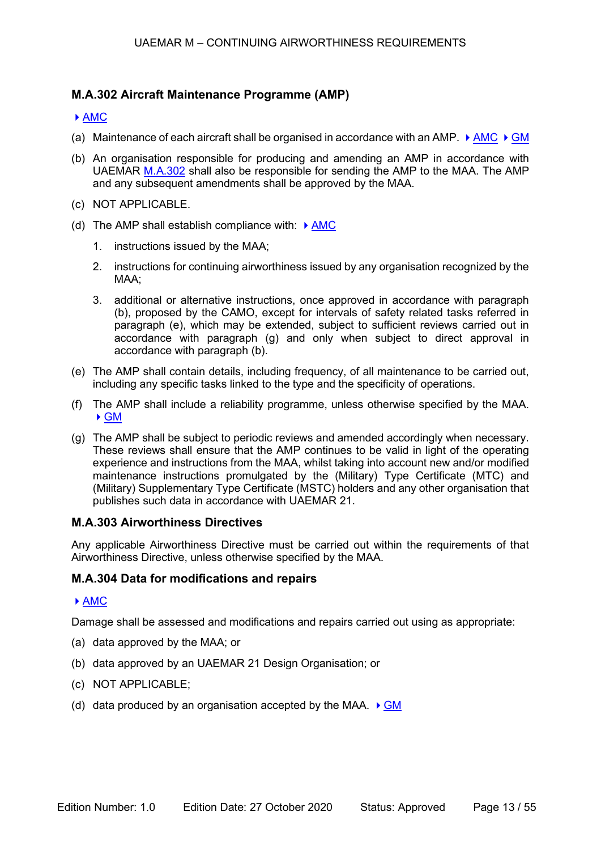# <span id="page-12-0"></span>**M.A.302 Aircraft Maintenance Programme (AMP)**

### AMC

- (a) Maintenance of each aircraft shall be organised in accordance with an AMP.  $\triangleright$  AMC  $\triangleright$  GM
- (b) An organisation responsible for producing and amending an AMP in accordance with UAEMAR M.A.302 shall also be responsible for sending the AMP to the MAA. The AMP and any subsequent amendments shall be approved by the MAA.
- (c) NOT APPLICABLE.
- (d) The AMP shall establish compliance with:  $\triangleright$  AMC
	- 1. instructions issued by the MAA;
	- 2. instructions for continuing airworthiness issued by any organisation recognized by the MAA;
	- 3. additional or alternative instructions, once approved in accordance with paragraph (b), proposed by the CAMO, except for intervals of safety related tasks referred in paragraph (e), which may be extended, subject to sufficient reviews carried out in accordance with paragraph (g) and only when subject to direct approval in accordance with paragraph (b).
- (e) The AMP shall contain details, including frequency, of all maintenance to be carried out, including any specific tasks linked to the type and the specificity of operations.
- (f) The AMP shall include a reliability programme, unless otherwise specified by the MAA. GM
- (g) The AMP shall be subject to periodic reviews and amended accordingly when necessary. These reviews shall ensure that the AMP continues to be valid in light of the operating experience and instructions from the MAA, whilst taking into account new and/or modified maintenance instructions promulgated by the (Military) Type Certificate (MTC) and (Military) Supplementary Type Certificate (MSTC) holders and any other organisation that publishes such data in accordance with UAEMAR 21.

### <span id="page-12-1"></span>**M.A.303 Airworthiness Directives**

Any applicable Airworthiness Directive must be carried out within the requirements of that Airworthiness Directive, unless otherwise specified by the MAA.

### <span id="page-12-2"></span>**M.A.304 Data for modifications and repairs**

### ▶ AMC

Damage shall be assessed and modifications and repairs carried out using as appropriate:

- (a) data approved by the MAA; or
- (b) data approved by an UAEMAR 21 Design Organisation; or
- (c) NOT APPLICABLE;
- (d) data produced by an organisation accepted by the MAA.  $\triangleright$  GM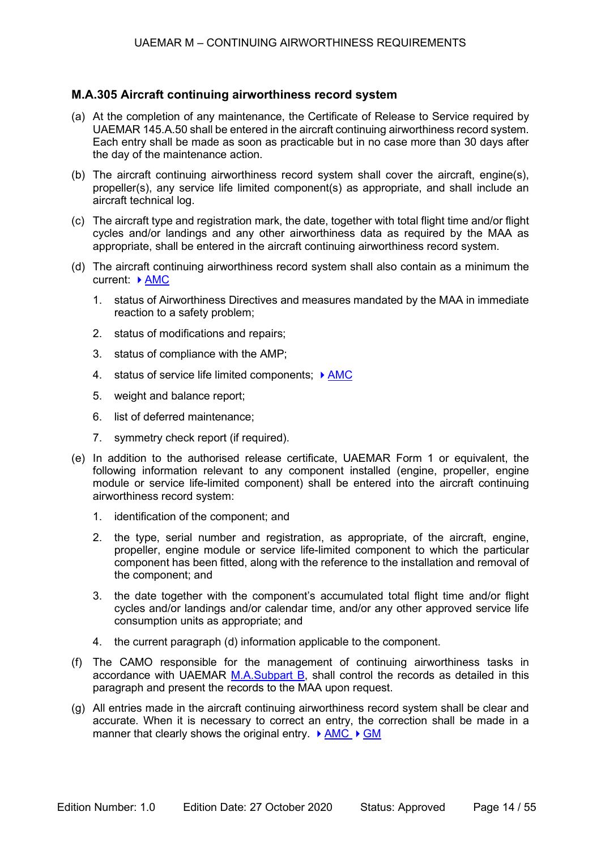### <span id="page-13-0"></span>**M.A.305 Aircraft continuing airworthiness record system**

- (a) At the completion of any maintenance, the Certificate of Release to Service required by UAEMAR 145.A.50 shall be entered in the aircraft continuing airworthiness record system. Each entry shall be made as soon as practicable but in no case more than 30 days after the day of the maintenance action.
- (b) The aircraft continuing airworthiness record system shall cover the aircraft, engine(s), propeller(s), any service life limited component(s) as appropriate, and shall include an aircraft technical log.
- (c) The aircraft type and registration mark, the date, together with total flight time and/or flight cycles and/or landings and any other airworthiness data as required by the MAA as appropriate, shall be entered in the aircraft continuing airworthiness record system.
- (d) The aircraft continuing airworthiness record system shall also contain as a minimum the current: AMC
	- 1. status of Airworthiness Directives and measures mandated by the MAA in immediate reaction to a safety problem;
	- 2. status of modifications and repairs;
	- 3. status of compliance with the AMP;
	- 4. status of service life limited components;  $\triangleright$  AMC
	- 5. weight and balance report;
	- 6. list of deferred maintenance;
	- 7. symmetry check report (if required).
- (e) In addition to the authorised release certificate, UAEMAR Form 1 or equivalent, the following information relevant to any component installed (engine, propeller, engine module or service life-limited component) shall be entered into the aircraft continuing airworthiness record system:
	- 1. identification of the component; and
	- 2. the type, serial number and registration, as appropriate, of the aircraft, engine, propeller, engine module or service life-limited component to which the particular component has been fitted, along with the reference to the installation and removal of the component; and
	- 3. the date together with the component's accumulated total flight time and/or flight cycles and/or landings and/or calendar time, and/or any other approved service life consumption units as appropriate; and
	- 4. the current paragraph (d) information applicable to the component.
- (f) The CAMO responsible for the management of continuing airworthiness tasks in accordance with UAEMAR M.A.Subpart B, shall control the records as detailed in this paragraph and present the records to the MAA upon request.
- (g) All entries made in the aircraft continuing airworthiness record system shall be clear and accurate. When it is necessary to correct an entry, the correction shall be made in a manner that clearly shows the original entry.  $\triangleright$  AMC  $\triangleright$  GM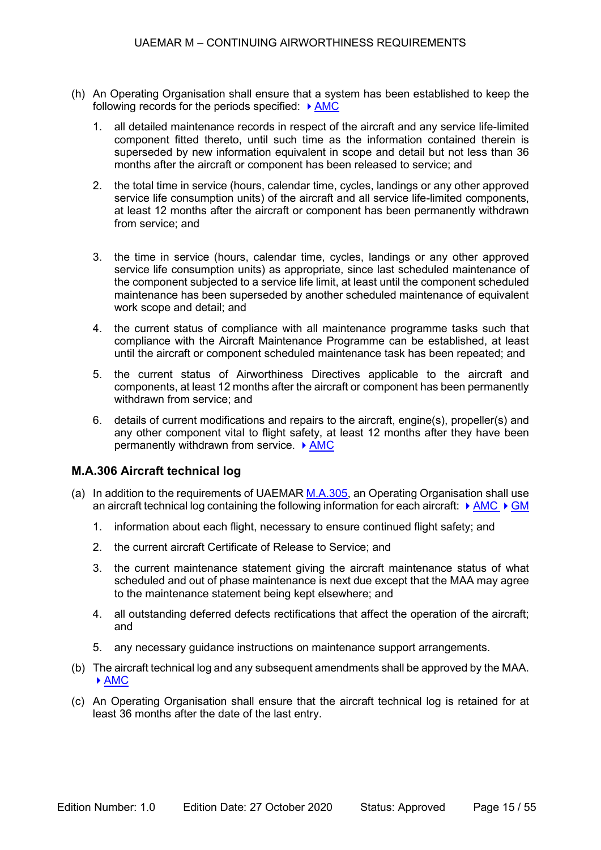- (h) An Operating Organisation shall ensure that a system has been established to keep the following records for the periods specified:  $\triangleright$  AMC
	- 1. all detailed maintenance records in respect of the aircraft and any service life-limited component fitted thereto, until such time as the information contained therein is superseded by new information equivalent in scope and detail but not less than 36 months after the aircraft or component has been released to service; and
	- 2. the total time in service (hours, calendar time, cycles, landings or any other approved service life consumption units) of the aircraft and all service life-limited components, at least 12 months after the aircraft or component has been permanently withdrawn from service; and
	- 3. the time in service (hours, calendar time, cycles, landings or any other approved service life consumption units) as appropriate, since last scheduled maintenance of the component subjected to a service life limit, at least until the component scheduled maintenance has been superseded by another scheduled maintenance of equivalent work scope and detail; and
	- 4. the current status of compliance with all maintenance programme tasks such that compliance with the Aircraft Maintenance Programme can be established, at least until the aircraft or component scheduled maintenance task has been repeated; and
	- 5. the current status of Airworthiness Directives applicable to the aircraft and components, at least 12 months after the aircraft or component has been permanently withdrawn from service; and
	- 6. details of current modifications and repairs to the aircraft, engine(s), propeller(s) and any other component vital to flight safety, at least 12 months after they have been permanently withdrawn from service.  $\rightarrow$  AMC

### <span id="page-14-0"></span>**M.A.306 Aircraft technical log**

- (a) In addition to the requirements of UAEMAR M.A.305, an Operating Organisation shall use an aircraft technical log containing the following information for each aircraft:  $\rightarrow$  AMC  $\rightarrow$  GM
	- 1. information about each flight, necessary to ensure continued flight safety; and
	- 2. the current aircraft Certificate of Release to Service; and
	- 3. the current maintenance statement giving the aircraft maintenance status of what scheduled and out of phase maintenance is next due except that the MAA may agree to the maintenance statement being kept elsewhere; and
	- 4. all outstanding deferred defects rectifications that affect the operation of the aircraft; and
	- 5. any necessary guidance instructions on maintenance support arrangements.
- (b) The aircraft technical log and any subsequent amendments shall be approved by the MAA. AMC
- (c) An Operating Organisation shall ensure that the aircraft technical log is retained for at least 36 months after the date of the last entry.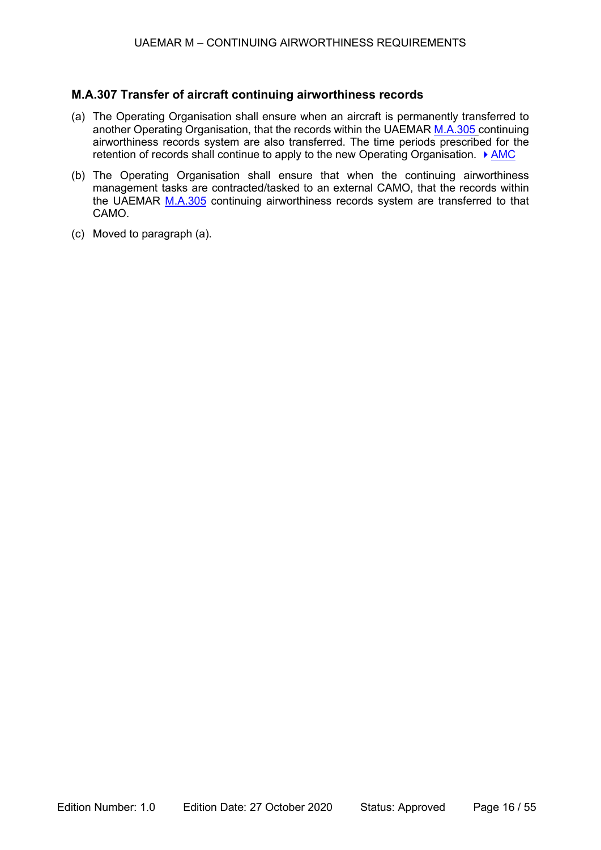### <span id="page-15-0"></span>**M.A.307 Transfer of aircraft continuing airworthiness records**

- (a) The Operating Organisation shall ensure when an aircraft is permanently transferred to another Operating Organisation, that the records within the UAEMAR M.A.305 continuing airworthiness records system are also transferred. The time periods prescribed for the retention of records shall continue to apply to the new Operating Organisation.  $\triangleright$  AMC
- (b) The Operating Organisation shall ensure that when the continuing airworthiness management tasks are contracted/tasked to an external CAMO, that the records within the UAEMAR M.A.305 continuing airworthiness records system are transferred to that CAMO.
- (c) Moved to paragraph (a).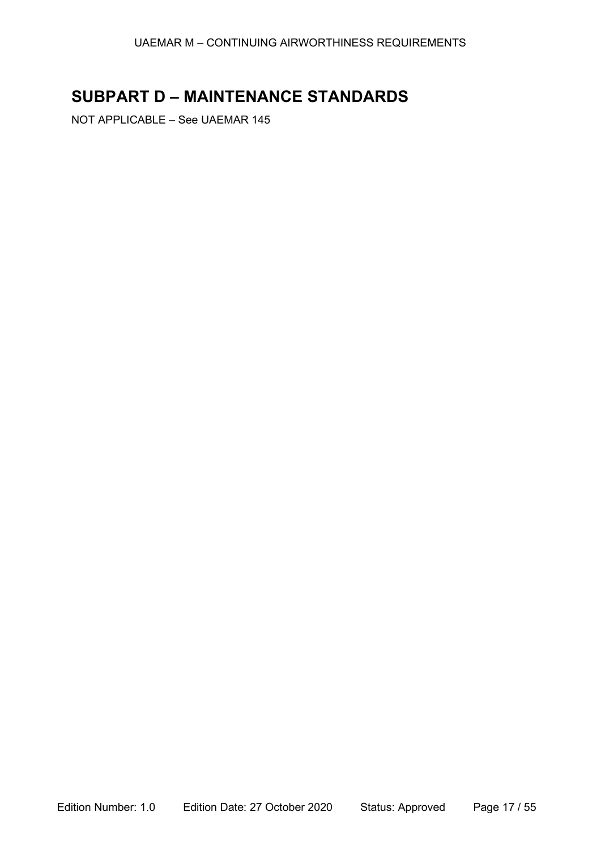# <span id="page-16-0"></span>**SUBPART D – MAINTENANCE STANDARDS**

NOT APPLICABLE – See UAEMAR 145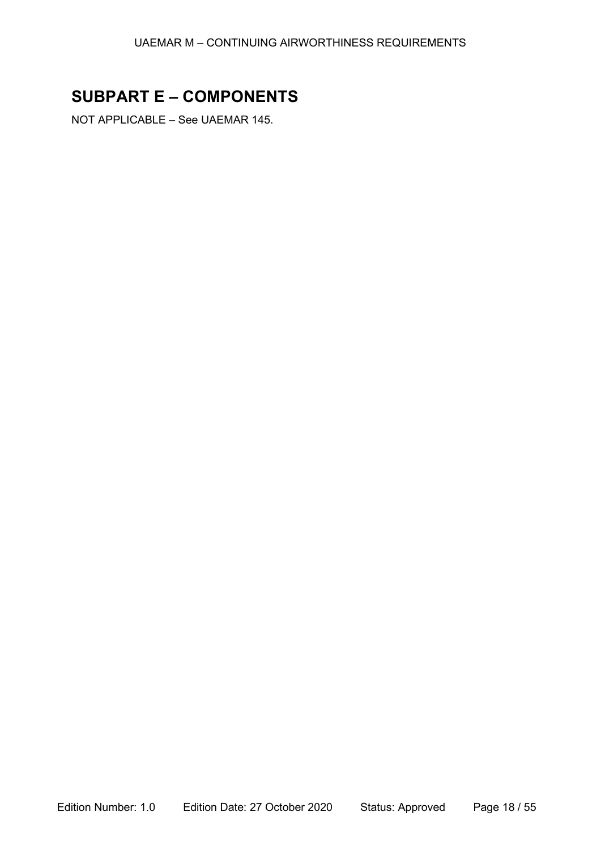# <span id="page-17-0"></span>**SUBPART E – COMPONENTS**

NOT APPLICABLE – See UAEMAR 145.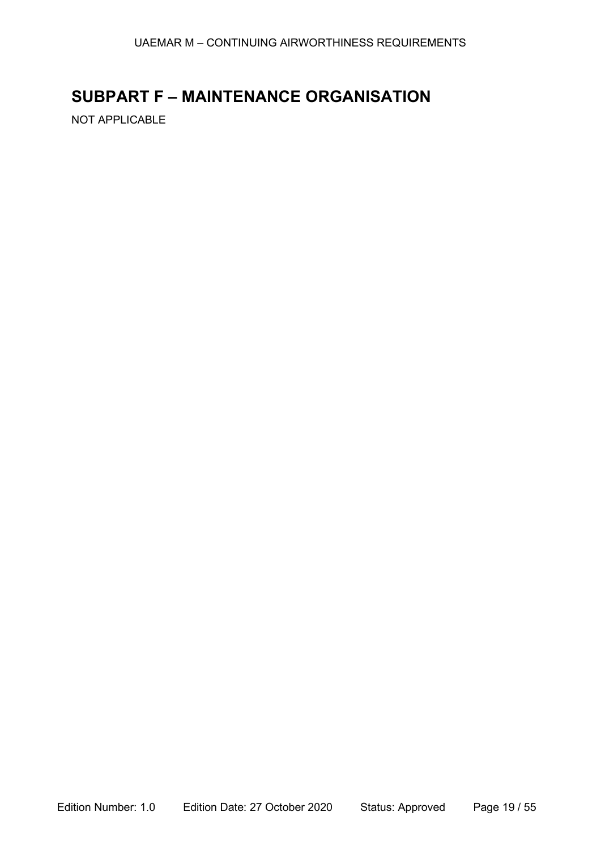# <span id="page-18-0"></span>**SUBPART F – MAINTENANCE ORGANISATION**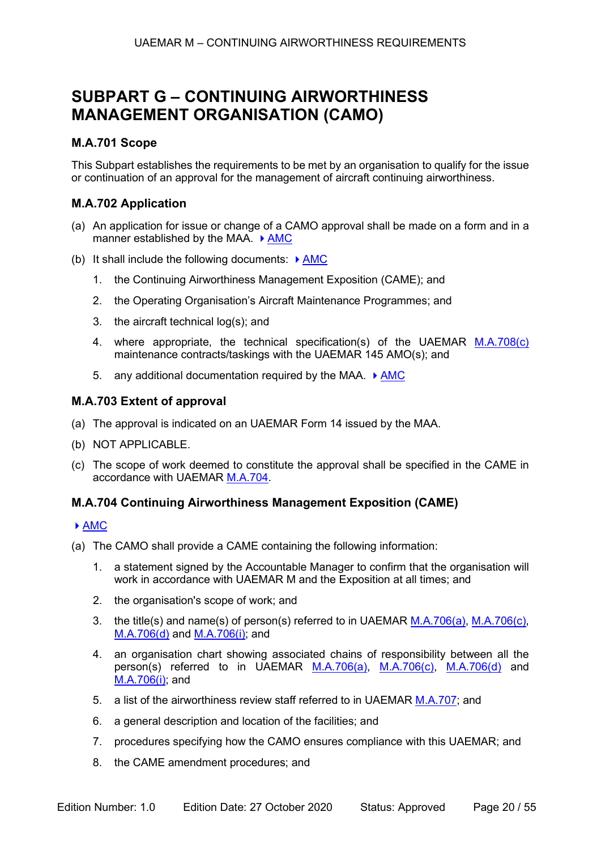# <span id="page-19-0"></span>**SUBPART G – CONTINUING AIRWORTHINESS MANAGEMENT ORGANISATION (CAMO)**

# <span id="page-19-1"></span>**M.A.701 Scope**

This Subpart establishes the requirements to be met by an organisation to qualify for the issue or continuation of an approval for the management of aircraft continuing airworthiness.

# <span id="page-19-2"></span>**M.A.702 Application**

- (a) An application for issue or change of a CAMO approval shall be made on a form and in a manner established by the MAA.  $\triangleright$  AMC
- (b) It shall include the following documents:  $\rightarrow$  AMC
	- 1. the Continuing Airworthiness Management Exposition (CAME); and
	- 2. the Operating Organisation's Aircraft Maintenance Programmes; and
	- 3. the aircraft technical log(s); and
	- 4. where appropriate, the technical specification(s) of the UAEMAR M.A.708(c) maintenance contracts/taskings with the UAEMAR 145 AMO(s); and
	- 5. any additional documentation required by the MAA.  $\triangleright$  AMC

### <span id="page-19-3"></span>**M.A.703 Extent of approval**

- (a) The approval is indicated on an UAEMAR Form 14 issued by the MAA.
- (b) NOT APPLICABLE.
- (c) The scope of work deemed to constitute the approval shall be specified in the CAME in accordance with UAEMAR M.A.704.

## <span id="page-19-4"></span>**M.A.704 Continuing Airworthiness Management Exposition (CAME)**

### $\triangleright$  AMC

- (a) The CAMO shall provide a CAME containing the following information:
	- 1. a statement signed by the Accountable Manager to confirm that the organisation will work in accordance with UAEMAR M and the Exposition at all times; and
	- 2. the organisation's scope of work; and
	- 3. the title(s) and name(s) of person(s) referred to in UAEMAR M.A.706(a), M.A.706(c), M.A.706(d) and M.A.706(i); and
	- 4. an organisation chart showing associated chains of responsibility between all the person(s) referred to in UAEMAR M.A.706(a), M.A.706(c), M.A.706(d) and M.A.706(i); and
	- 5. a list of the airworthiness review staff referred to in UAEMAR M.A.707; and
	- 6. a general description and location of the facilities; and
	- 7. procedures specifying how the CAMO ensures compliance with this UAEMAR; and
	- 8. the CAME amendment procedures; and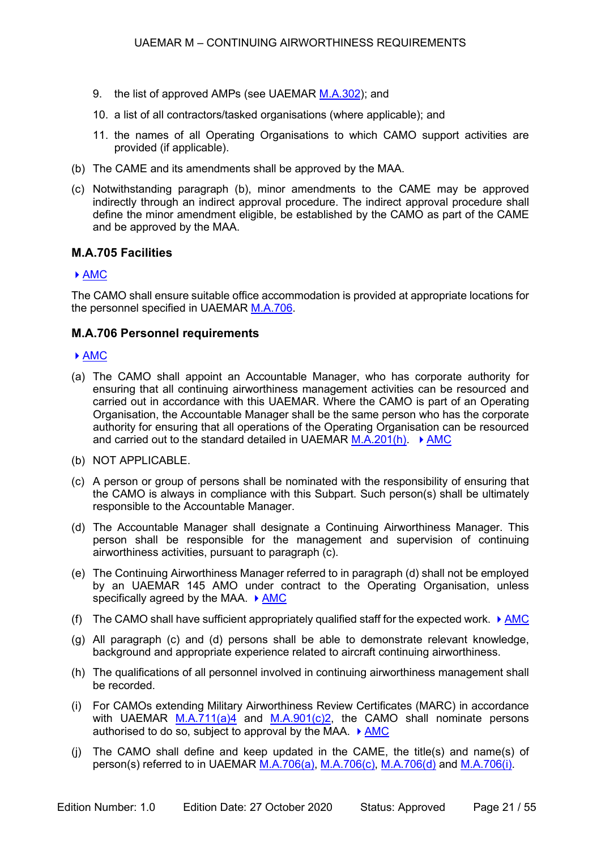- 9. the list of approved AMPs (see UAEMAR M.A.302); and
- 10. a list of all contractors/tasked organisations (where applicable); and
- 11. the names of all Operating Organisations to which CAMO support activities are provided (if applicable).
- (b) The CAME and its amendments shall be approved by the MAA.
- (c) Notwithstanding paragraph (b), minor amendments to the CAME may be approved indirectly through an indirect approval procedure. The indirect approval procedure shall define the minor amendment eligible, be established by the CAMO as part of the CAME and be approved by the MAA.

### <span id="page-20-0"></span>**M.A.705 Facilities**

### AMC

The CAMO shall ensure suitable office accommodation is provided at appropriate locations for the personnel specified in UAEMAR M.A.706.

### <span id="page-20-1"></span>**M.A.706 Personnel requirements**

### AMC

- (a) The CAMO shall appoint an Accountable Manager, who has corporate authority for ensuring that all continuing airworthiness management activities can be resourced and carried out in accordance with this UAEMAR. Where the CAMO is part of an Operating Organisation, the Accountable Manager shall be the same person who has the corporate authority for ensuring that all operations of the Operating Organisation can be resourced and carried out to the standard detailed in UAEMAR  $M.A.201(h) \rightarrow AMC$
- (b) NOT APPLICABLE.
- (c) A person or group of persons shall be nominated with the responsibility of ensuring that the CAMO is always in compliance with this Subpart. Such person(s) shall be ultimately responsible to the Accountable Manager.
- (d) The Accountable Manager shall designate a Continuing Airworthiness Manager. This person shall be responsible for the management and supervision of continuing airworthiness activities, pursuant to paragraph (c).
- (e) The Continuing Airworthiness Manager referred to in paragraph (d) shall not be employed by an UAEMAR 145 AMO under contract to the Operating Organisation, unless specifically agreed by the MAA.  $\triangleright$  AMC
- (f) The CAMO shall have sufficient appropriately qualified staff for the expected work.  $\triangleright$  AMC
- (g) All paragraph (c) and (d) persons shall be able to demonstrate relevant knowledge, background and appropriate experience related to aircraft continuing airworthiness.
- (h) The qualifications of all personnel involved in continuing airworthiness management shall be recorded.
- (i) For CAMOs extending Military Airworthiness Review Certificates (MARC) in accordance with UAEMAR M.A.711(a)4 and M.A.901(c)2, the CAMO shall nominate persons authorised to do so, subject to approval by the MAA.  $\triangleright$  AMC
- (j) The CAMO shall define and keep updated in the CAME, the title(s) and name(s) of person(s) referred to in UAEMAR M.A.706(a), M.A.706(c), M.A.706(d) and M.A.706(i).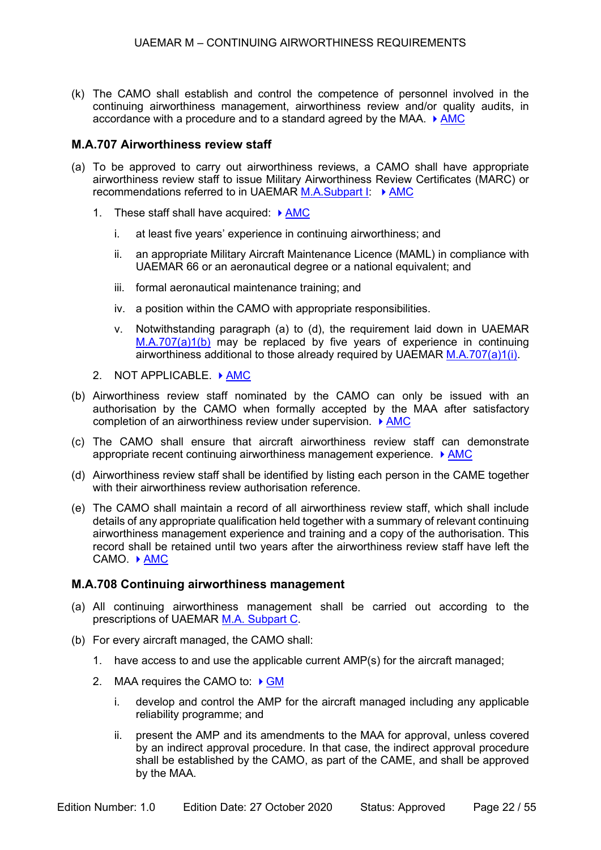(k) The CAMO shall establish and control the competence of personnel involved in the continuing airworthiness management, airworthiness review and/or quality audits, in accordance with a procedure and to a standard agreed by the MAA.  $\triangleright$  AMC

### <span id="page-21-0"></span>**M.A.707 Airworthiness review staff**

- (a) To be approved to carry out airworthiness reviews, a CAMO shall have appropriate airworthiness review staff to issue Military Airworthiness Review Certificates (MARC) or recommendations referred to in UAEMAR M.A.Subpart I: ▶ AMC
	- 1. These staff shall have acquired:  $\triangleright$  AMC
		- i. at least five years' experience in continuing airworthiness; and
		- ii. an appropriate Military Aircraft Maintenance Licence (MAML) in compliance with UAEMAR 66 or an aeronautical degree or a national equivalent; and
		- iii. formal aeronautical maintenance training; and
		- iv. a position within the CAMO with appropriate responsibilities.
		- v. Notwithstanding paragraph (a) to (d), the requirement laid down in UAEMAR M.A.707(a)1(b) may be replaced by five years of experience in continuing airworthiness additional to those already required by UAEMAR M.A.707(a)1(i).
	- 2. NOT APPLICABLE. ▶ AMC
- (b) Airworthiness review staff nominated by the CAMO can only be issued with an authorisation by the CAMO when formally accepted by the MAA after satisfactory completion of an airworthiness review under supervision.  $\rightarrow$  AMC
- (c) The CAMO shall ensure that aircraft airworthiness review staff can demonstrate appropriate recent continuing airworthiness management experience.  $\triangleright$  AMC
- (d) Airworthiness review staff shall be identified by listing each person in the CAME together with their airworthiness review authorisation reference.
- (e) The CAMO shall maintain a record of all airworthiness review staff, which shall include details of any appropriate qualification held together with a summary of relevant continuing airworthiness management experience and training and a copy of the authorisation. This record shall be retained until two years after the airworthiness review staff have left the CAMO. ▶ AMC

### <span id="page-21-1"></span>**M.A.708 Continuing airworthiness management**

- (a) All continuing airworthiness management shall be carried out according to the prescriptions of UAEMAR M.A. Subpart C.
- (b) For every aircraft managed, the CAMO shall:
	- 1. have access to and use the applicable current AMP(s) for the aircraft managed;
	- 2. MAA requires the CAMO to:  $\triangleright$  GM
		- i. develop and control the AMP for the aircraft managed including any applicable reliability programme; and
		- ii. present the AMP and its amendments to the MAA for approval, unless covered by an indirect approval procedure. In that case, the indirect approval procedure shall be established by the CAMO, as part of the CAME, and shall be approved by the MAA.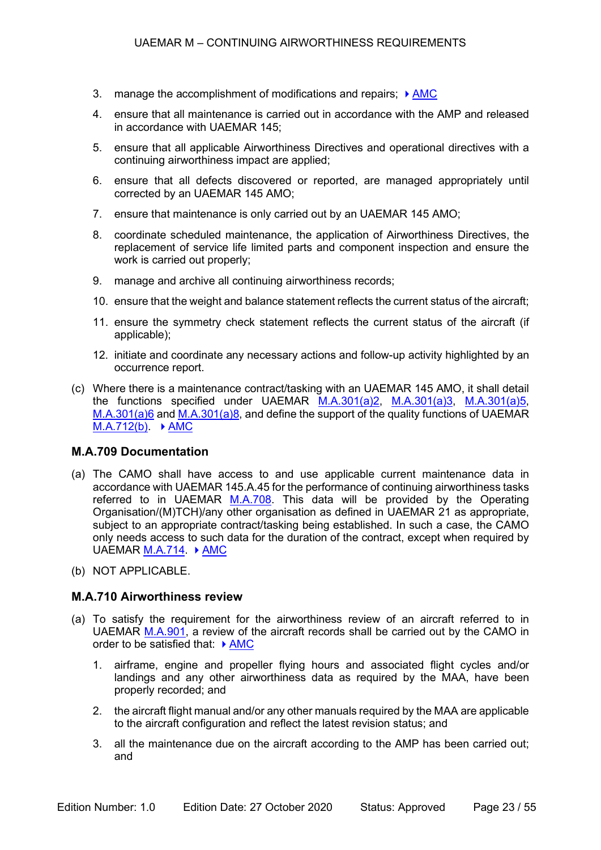- 3. manage the accomplishment of modifications and repairs; ▶ AMC
- 4. ensure that all maintenance is carried out in accordance with the AMP and released in accordance with UAEMAR 145;
- 5. ensure that all applicable Airworthiness Directives and operational directives with a continuing airworthiness impact are applied;
- <span id="page-22-2"></span>6. ensure that all defects discovered or reported, are managed appropriately until corrected by an UAEMAR 145 AMO;
- 7. ensure that maintenance is only carried out by an UAEMAR 145 AMO;
- 8. coordinate scheduled maintenance, the application of Airworthiness Directives, the replacement of service life limited parts and component inspection and ensure the work is carried out properly;
- 9. manage and archive all continuing airworthiness records;
- 10. ensure that the weight and balance statement reflects the current status of the aircraft;
- 11. ensure the symmetry check statement reflects the current status of the aircraft (if applicable);
- 12. initiate and coordinate any necessary actions and follow-up activity highlighted by an occurrence report.
- (c) Where there is a maintenance contract/tasking with an UAEMAR 145 AMO, it shall detail the functions specified under UAEMAR M.A.301(a)2, M.A.301(a)3, M.A.301(a)5, M.A.301(a)6 and M.A.301(a)8, and define the support of the quality functions of [UAEMAR](#page-24-1)  $M.A.712(b) \rightarrow AMC$

## <span id="page-22-0"></span>**M.A.709 Documentation**

- (a) The CAMO shall have access to and use applicable current maintenance data in accordance with UAEMAR 145.A.45 for the performance of continuing airworthiness tasks referred to in UAEMAR M.A.708. This data will be provided by the Operating Organisation/(M)TCH)/any other organisation as defined in UAEMAR 21 as appropriate, subject to an appropriate contract/tasking being established. In such a case, the CAMO only needs access to such data for the duration of the contract, except when required by UAEMAR M.A.714 ▶ AMC
- (b) NOT APPLICABLE.

### <span id="page-22-1"></span>**M.A.710 Airworthiness review**

- (a) To satisfy the requirement for the airworthiness review of an aircraft referred to in UAEMAR M.A.901, a review of the aircraft records shall be carried out by the CAMO in order to be satisfied that:  $\rightarrow$  AMC
	- 1. airframe, engine and propeller flying hours and associated flight cycles and/or landings and any other airworthiness data as required by the MAA, have been properly recorded; and
	- 2. the aircraft flight manual and/or any other manuals required by the MAA are applicable to the aircraft configuration and reflect the latest revision status; and
	- 3. all the maintenance due on the aircraft according to the AMP has been carried out; and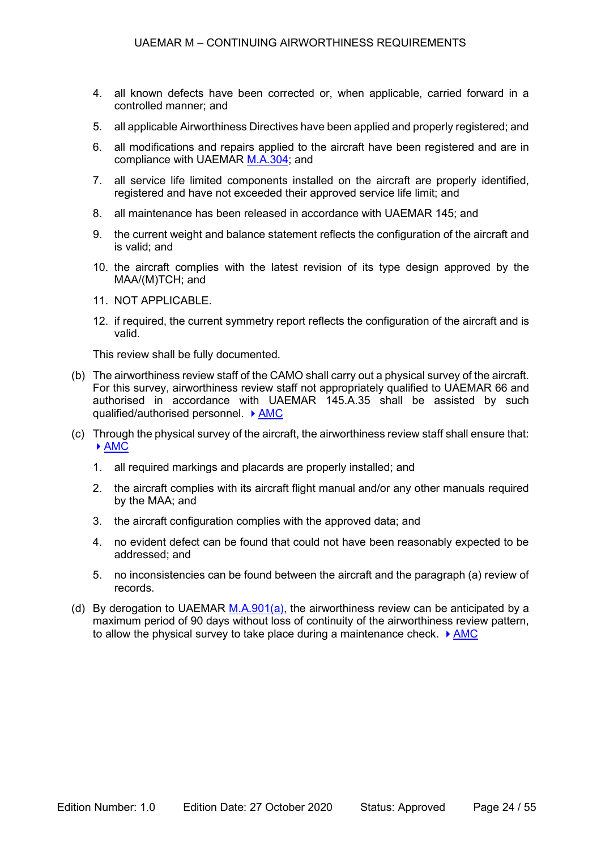- 4. all known defects have been corrected or, when applicable, carried forward in a controlled manner; and
- 5. all applicable Airworthiness Directives have been applied and properly registered; and
- 6. all modifications and repairs applied to the aircraft have been registered and are in compliance with UAEMAR M.A.304; and
- 7. all service life limited components installed on the aircraft are properly identified, registered and have not exceeded their approved service life limit; and
- 8. all maintenance has been released in accordance with UAEMAR 145; and
- 9. the current weight and balance statement reflects the configuration of the aircraft and is valid; and
- 10. the aircraft complies with the latest revision of its type design approved by the MAA/(M)TCH; and
- 11. NOT APPLICABLE.
- 12. if required, the current symmetry report reflects the configuration of the aircraft and is valid.

This review shall be fully documented.

- (b) The airworthiness review staff of the CAMO shall carry out a physical survey of the aircraft. For this survey, airworthiness review staff not appropriately qualified to UAEMAR 66 and authorised in accordance with UAEMAR 145.A.35 shall be assisted by such qualified/authorised personnel. > AMC
- (c) Through the physical survey of the aircraft, the airworthiness review staff shall ensure that: AMC
	- 1. all required markings and placards are properly installed; and
	- 2. the aircraft complies with its aircraft flight manual and/or any other manuals required by the MAA; and
	- 3. the aircraft configuration complies with the approved data; and
	- 4. no evident defect can be found that could not have been reasonably expected to be addressed; and
	- 5. no inconsistencies can be found between the aircraft and the paragraph (a) review of records.
- (d) By derogation to UAEMAR  $M.A.901(a)$ , the airworthiness review can be anticipated by a maximum period of 90 days without loss of continuity of the airworthiness review pattern, to allow the physical survey to take place during a maintenance check.  $\triangleright$  AMC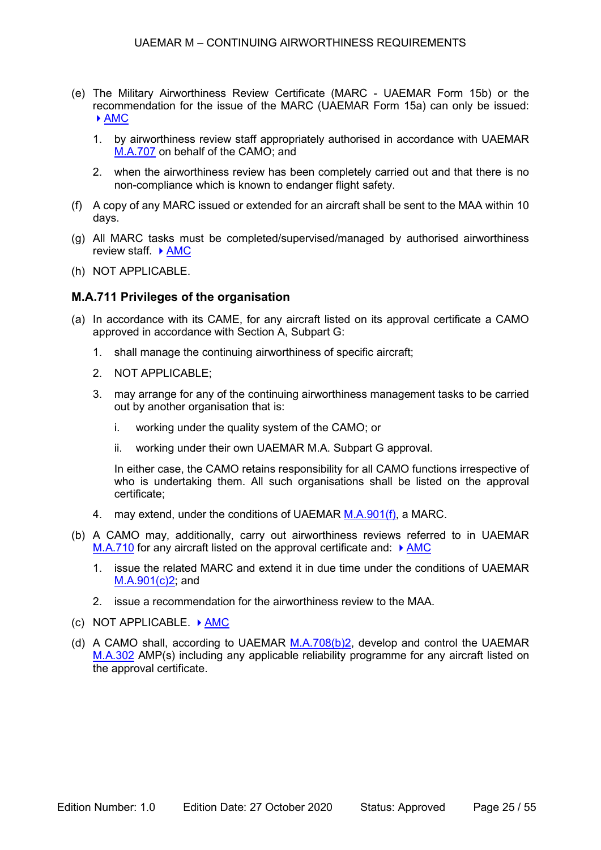- (e) The Military Airworthiness Review Certificate (MARC UAEMAR Form 15b) or the recommendation for the issue of the MARC (UAEMAR Form 15a) can only be issued: AMC
	- 1. by airworthiness review staff appropriately authorised in accordance with UAEMAR M.A.707 on behalf of the CAMO; and
	- 2. when the airworthiness review has been completely carried out and that there is no non-compliance which is known to endanger flight safety.
- (f) A copy of any MARC issued or extended for an aircraft shall be sent to the MAA within 10 days.
- (g) All MARC tasks must be completed/supervised/managed by authorised airworthiness review staff.  $\triangleright$  AMC
- (h) NOT APPLICABLE.

### <span id="page-24-0"></span>**M.A.711 Privileges of the organisation**

- (a) In accordance with its CAME, for any aircraft listed on its approval certificate a CAMO approved in accordance with Section A, Subpart G:
	- 1. shall manage the continuing airworthiness of specific aircraft;
	- 2. NOT APPLICABLE;
	- 3. may arrange for any of the continuing airworthiness management tasks to be carried out by another organisation that is:
		- i. working under the quality system of the CAMO; or
		- ii. working under their own UAEMAR M.A. Subpart G approval.

<span id="page-24-1"></span>In either case, the CAMO retains responsibility for all CAMO functions irrespective of who is undertaking them. All such organisations shall be listed on the approval certificate;

- 4. may extend, under the conditions of UAEMAR M.A.901(f), a MARC.
- (b) A CAMO may, additionally, carry out airworthiness reviews referred to in UAEMAR [M.A.710](#page-22-2) for any aircraft listed on the approval certificate and:  $\triangleright$  AMC
	- 1. issue the related MARC and extend it in due time under the conditions of UAEMAR M.A.901(c)2; and
	- 2. issue a recommendation for the airworthiness review to the MAA.
- (c) NOT APPLICABLE.  $\triangleright$  AMC
- (d) A CAMO shall, according to UAEMAR M.A.708(b)2, develop and control the UAEMAR M.A.302 AMP(s) including any applicable reliability programme for any aircraft listed on the approval certificate.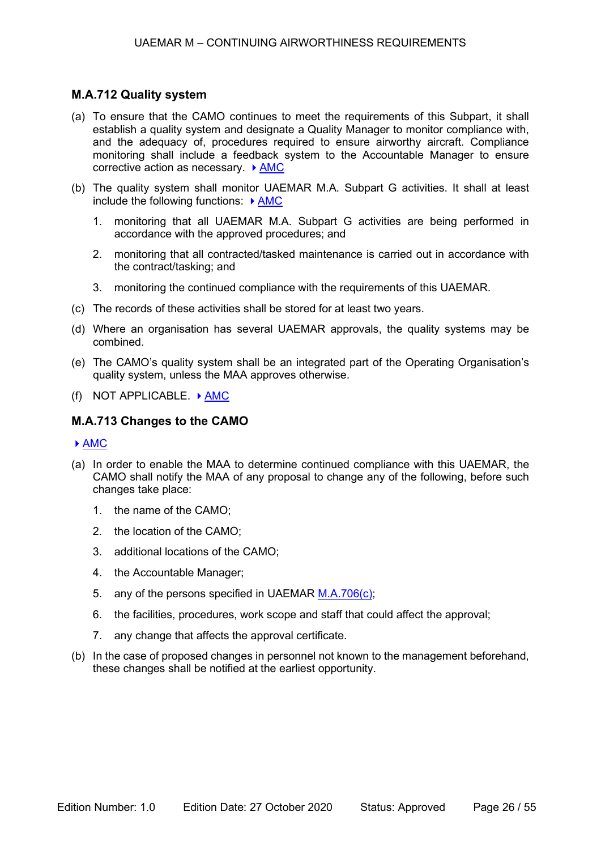# <span id="page-25-0"></span>**M.A.712 Quality system**

- (a) To ensure that the CAMO continues to meet the requirements of this Subpart, it shall establish a quality system and designate a Quality Manager to monitor compliance with, and the adequacy of, procedures required to ensure airworthy aircraft. Compliance monitoring shall include a feedback system to the Accountable Manager to ensure corrective action as necessary. AMC
- (b) The quality system shall monitor UAEMAR M.A. Subpart G activities. It shall at least include the following functions:  $\rightarrow$  AMC
	- 1. monitoring that all UAEMAR M.A. Subpart G activities are being performed in accordance with the approved procedures; and
	- 2. monitoring that all contracted/tasked maintenance is carried out in accordance with the contract/tasking; and
	- 3. monitoring the continued compliance with the requirements of this UAEMAR.
- (c) The records of these activities shall be stored for at least two years.
- (d) Where an organisation has several UAEMAR approvals, the quality systems may be combined.
- (e) The CAMO's quality system shall be an integrated part of the Operating Organisation's quality system, unless the MAA approves otherwise.
- (f) NOT APPLICABLE.  $\triangleright$  AMC

## <span id="page-25-1"></span>**M.A.713 Changes to the CAMO**

### AMC

- (a) In order to enable the MAA to determine continued compliance with this UAEMAR, the CAMO shall notify the MAA of any proposal to change any of the following, before such changes take place:
	- 1. the name of the CAMO;
	- 2. the location of the CAMO;
	- 3. additional locations of the CAMO;
	- 4. the Accountable Manager;
	- 5. any of the persons specified in UAEMAR M.A.706(c);
	- 6. the facilities, procedures, work scope and staff that could affect the approval;
	- 7. any change that affects the approval certificate.
- (b) In the case of proposed changes in personnel not known to the management beforehand, these changes shall be notified at the earliest opportunity.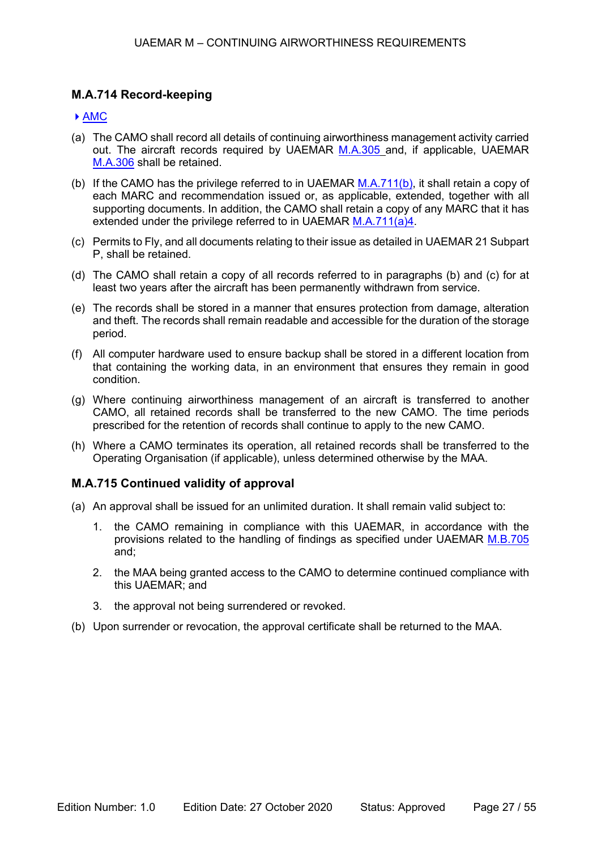### <span id="page-26-0"></span>**M.A.714 Record-keeping**

#### ▶ AMC

- (a) The CAMO shall record all details of continuing airworthiness management activity carried out. The aircraft records required by UAEMAR M.A.305 and, if applicable. UAEMAR M.A.306 shall be retained.
- (b) If the CAMO has the privilege referred to in UAEMAR M.A.711(b), it shall retain a copy of each MARC and recommendation issued or, as applicable, extended, together with all supporting documents. In addition, the CAMO shall retain a copy of any MARC that it has extended under the privilege referred to in UAEMAR M.A.711(a)4.
- (c) Permits to Fly, and all documents relating to their issue as detailed in UAEMAR 21 Subpart P, shall be retained.
- (d) The CAMO shall retain a copy of all records referred to in paragraphs (b) and (c) for at least two years after the aircraft has been permanently withdrawn from service.
- (e) The records shall be stored in a manner that ensures protection from damage, alteration and theft. The records shall remain readable and accessible for the duration of the storage period.
- (f) All computer hardware used to ensure backup shall be stored in a different location from that containing the working data, in an environment that ensures they remain in good condition.
- (g) Where continuing airworthiness management of an aircraft is transferred to another CAMO, all retained records shall be transferred to the new CAMO. The time periods prescribed for the retention of records shall continue to apply to the new CAMO.
- (h) Where a CAMO terminates its operation, all retained records shall be transferred to the Operating Organisation (if applicable), unless determined otherwise by the MAA.

### <span id="page-26-1"></span>**M.A.715 Continued validity of approval**

- (a) An approval shall be issued for an unlimited duration. It shall remain valid subject to:
	- 1. the CAMO remaining in compliance with this UAEMAR, in accordance with the provisions related to the handling of findings as specified under UAEMAR M.B.705 and;
	- 2. the MAA being granted access to the CAMO to determine continued compliance with this UAEMAR; and
	- 3. the approval not being surrendered or revoked.
- (b) Upon surrender or revocation, the approval certificate shall be returned to the MAA.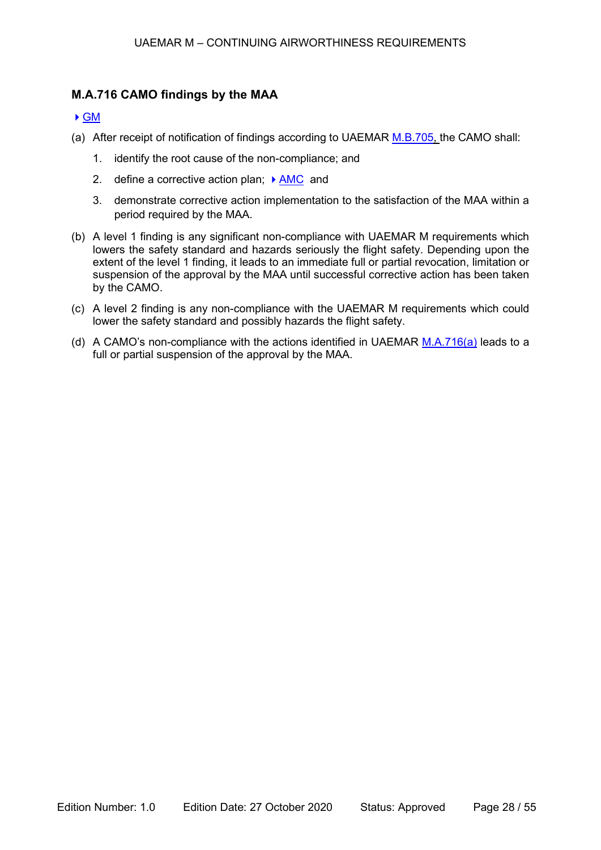# <span id="page-27-0"></span>**M.A.716 CAMO findings by the MAA**

### GM

- (a) After receipt of notification of findings according to UAEMAR M.B.705, the CAMO shall:
	- 1. identify the root cause of the non-compliance; and
	- 2. define a corrective action plan;  $\rightarrow$  AMC and
	- 3. demonstrate corrective action implementation to the satisfaction of the MAA within a period required by the MAA.
- (b) A level 1 finding is any significant non-compliance with UAEMAR M requirements which lowers the safety standard and hazards seriously the flight safety. Depending upon the extent of the level 1 finding, it leads to an immediate full or partial revocation, limitation or suspension of the approval by the MAA until successful corrective action has been taken by the CAMO.
- (c) A level 2 finding is any non-compliance with the UAEMAR M requirements which could lower the safety standard and possibly hazards the flight safety.
- (d) A CAMO's non-compliance with the actions identified in UAEMAR M.A.716(a) leads to a full or partial suspension of the approval by the MAA.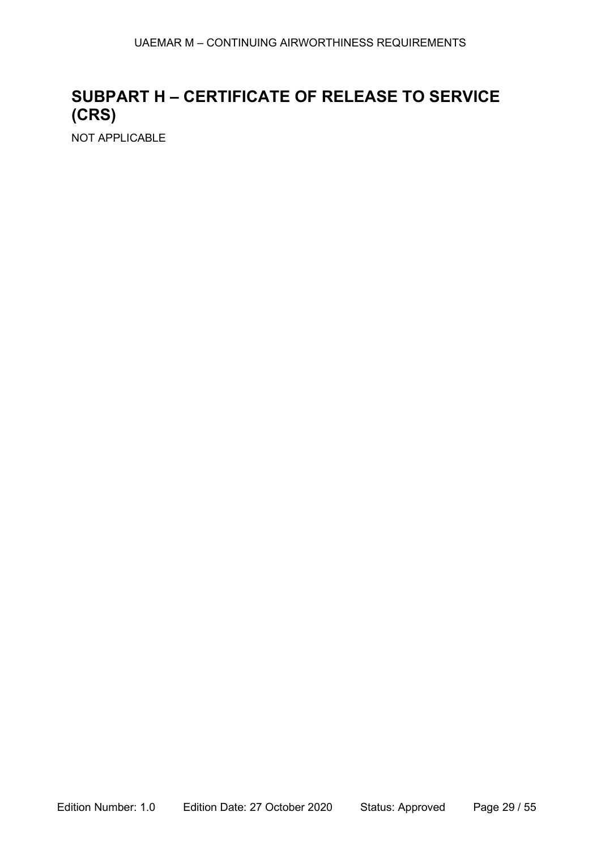# <span id="page-28-0"></span>**SUBPART H – CERTIFICATE OF RELEASE TO SERVICE (CRS)**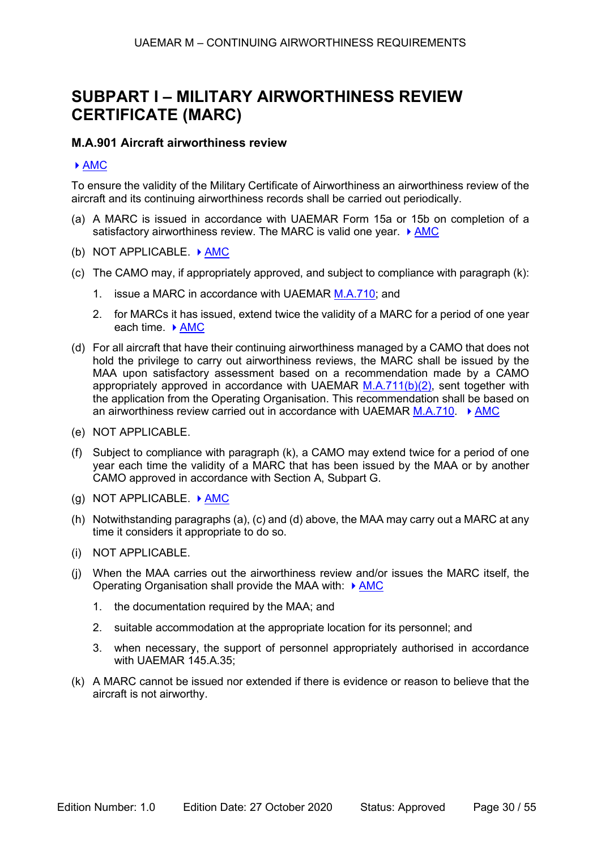# <span id="page-29-0"></span>**SUBPART I – MILITARY AIRWORTHINESS REVIEW CERTIFICATE (MARC)**

### <span id="page-29-1"></span>**M.A.901 Aircraft airworthiness review**

### AMC

To ensure the validity of the Military Certificate of Airworthiness an airworthiness review of the aircraft and its continuing airworthiness records shall be carried out periodically.

- (a) A MARC is issued in accordance with UAEMAR Form 15a or 15b on completion of a satisfactory airworthiness review. The MARC is valid one year.  $\triangleright$  AMC
- (b) NOT APPLICABLE.  $\rightarrow$  AMC
- (c) The CAMO may, if appropriately approved, and subject to compliance with paragraph (k):
	- 1. issue a MARC in accordance with UAEMAR M.A.710; and
	- 2. for MARCs it has issued, extend twice the validity of a MARC for a period of one year each time. AMC
- (d) For all aircraft that have their continuing airworthiness managed by a CAMO that does not hold the privilege to carry out airworthiness reviews, the MARC shall be issued by the MAA upon satisfactory assessment based on a recommendation made by a CAMO appropriately approved in accordance with UAEMAR  $M.A.711(b)(2)$ , sent together with the application from the Operating Organisation. This recommendation shall be based on an airworthiness review carried out in accordance with UAEMAR M.A.710.  $\rightarrow$  AMC
- (e) NOT APPLICABLE.
- (f) Subject to compliance with paragraph (k), a CAMO may extend twice for a period of one year each time the validity of a MARC that has been issued by the MAA or by another CAMO approved in accordance with Section A, Subpart G.
- (g) NOT APPLICABLE.  $\triangleright$  AMC
- (h) Notwithstanding paragraphs (a), (c) and (d) above, the MAA may carry out a MARC at any time it considers it appropriate to do so.
- (i) NOT APPLICABLE.
- (j) When the MAA carries out the airworthiness review and/or issues the MARC itself, the Operating Organisation shall provide the MAA with:  $\rightarrow$  AMC
	- 1. the documentation required by the MAA; and
	- 2. suitable accommodation at the appropriate location for its personnel; and
	- 3. when necessary, the support of personnel appropriately authorised in accordance with UAEMAR 145.A.35;
- (k) A MARC cannot be issued nor extended if there is evidence or reason to believe that the aircraft is not airworthy.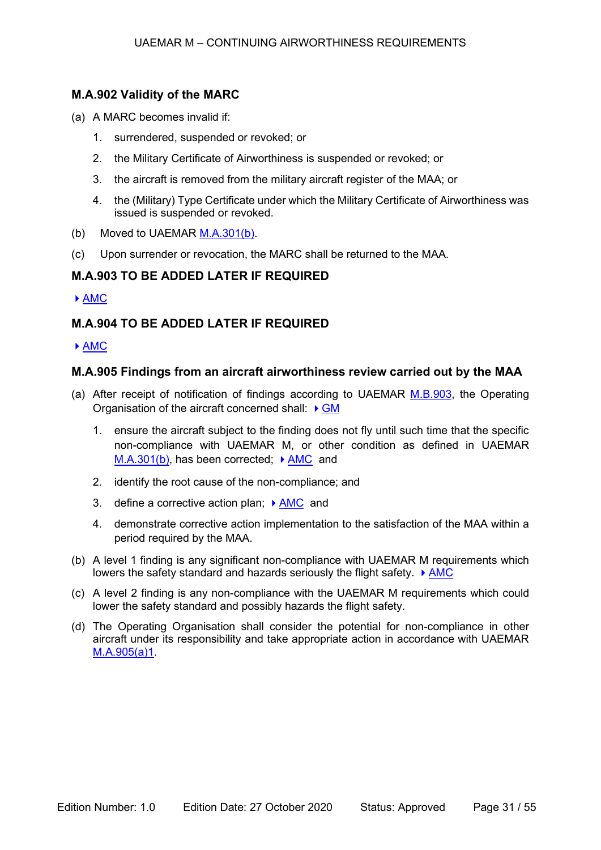# <span id="page-30-0"></span>**M.A.902 Validity of the MARC**

- (a) A MARC becomes invalid if:
	- 1. surrendered, suspended or revoked; or
	- 2. the Military Certificate of Airworthiness is suspended or revoked; or
	- 3. the aircraft is removed from the military aircraft register of the MAA; or
	- 4. the (Military) Type Certificate under which the Military Certificate of Airworthiness was issued is suspended or revoked.
- (b) Moved to UAEMAR  $M.A.301(b)$ .
- (c) Upon surrender or revocation, the MARC shall be returned to the MAA.

### <span id="page-30-1"></span>**M.A.903 TO BE ADDED LATER IF REQUIRED**

### ▶ AMC

## <span id="page-30-2"></span>**M.A.904 TO BE ADDED LATER IF REQUIRED**

### <span id="page-30-3"></span>▶ AMC

### **M.A.905 Findings from an aircraft airworthiness review carried out by the MAA**

- (a) After receipt of notification of findings according to UAEMAR M.B.903, the Operating Organisation of the aircraft concerned shall:  $\triangleright$  GM
	- 1. ensure the aircraft subject to the finding does not fly until such time that the specific non-compliance with UAEMAR M, or other condition as defined in UAEMAR  $M.A.301(b)$ , has been corrected;  $\rightarrow AMC$  and
	- 2. identify the root cause of the non-compliance; and
	- 3. define a corrective action plan;  $\triangleright$  AMC and
	- 4. demonstrate corrective action implementation to the satisfaction of the MAA within a period required by the MAA.
- (b) A level 1 finding is any significant non-compliance with UAEMAR M requirements which lowers the safety standard and hazards seriously the flight safety.  $\triangleright$  AMC
- (c) A level 2 finding is any non-compliance with the UAEMAR M requirements which could lower the safety standard and possibly hazards the flight safety.
- (d) The Operating Organisation shall consider the potential for non-compliance in other aircraft under its responsibility and take appropriate action in accordance with UAEMAR M.A.905(a)1.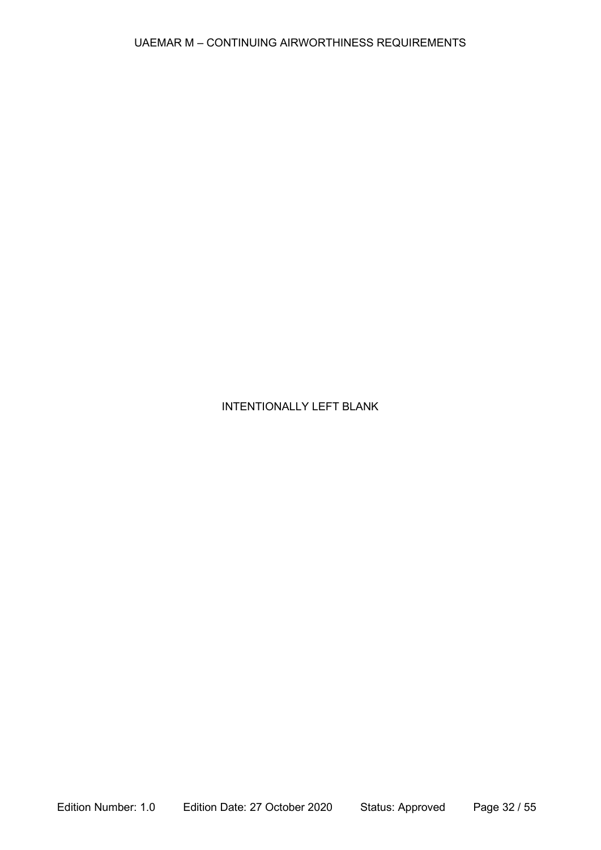# INTENTIONALLY LEFT BLANK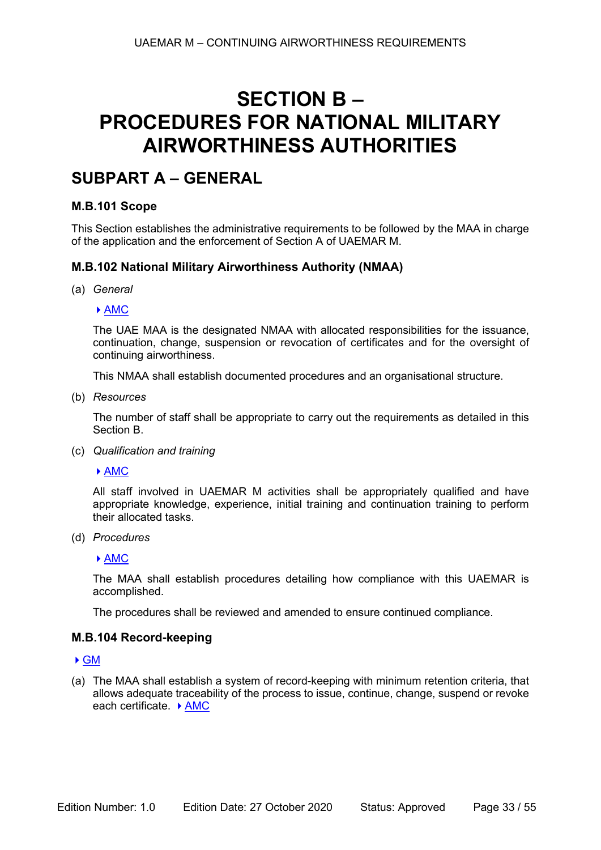# <span id="page-32-0"></span>**SECTION B – PROCEDURES FOR NATIONAL MILITARY AIRWORTHINESS AUTHORITIES**

# <span id="page-32-1"></span>**SUBPART A – GENERAL**

# <span id="page-32-2"></span>**M.B.101 Scope**

This Section establishes the administrative requirements to be followed by the MAA in charge of the application and the enforcement of Section A of UAEMAR M.

## <span id="page-32-3"></span>**M.B.102 National Military Airworthiness Authority (NMAA)**

(a) *General*

▶ AMC

The UAE MAA is the designated NMAA with allocated responsibilities for the issuance, continuation, change, suspension or revocation of certificates and for the oversight of continuing airworthiness.

This NMAA shall establish documented procedures and an organisational structure.

(b) *Resources*

The number of staff shall be appropriate to carry out the requirements as detailed in this Section B.

(c) *Qualification and training*

AMC

All staff involved in UAEMAR M activities shall be appropriately qualified and have appropriate knowledge, experience, initial training and continuation training to perform their allocated tasks.

(d) *Procedures*

AMC

The MAA shall establish procedures detailing how compliance with this UAEMAR is accomplished.

The procedures shall be reviewed and amended to ensure continued compliance.

### <span id="page-32-4"></span>**M.B.104 Record-keeping**

GM

(a) The MAA shall establish a system of record-keeping with minimum retention criteria, that allows adequate traceability of the process to issue, continue, change, suspend or revoke each certificate. ▶ AMC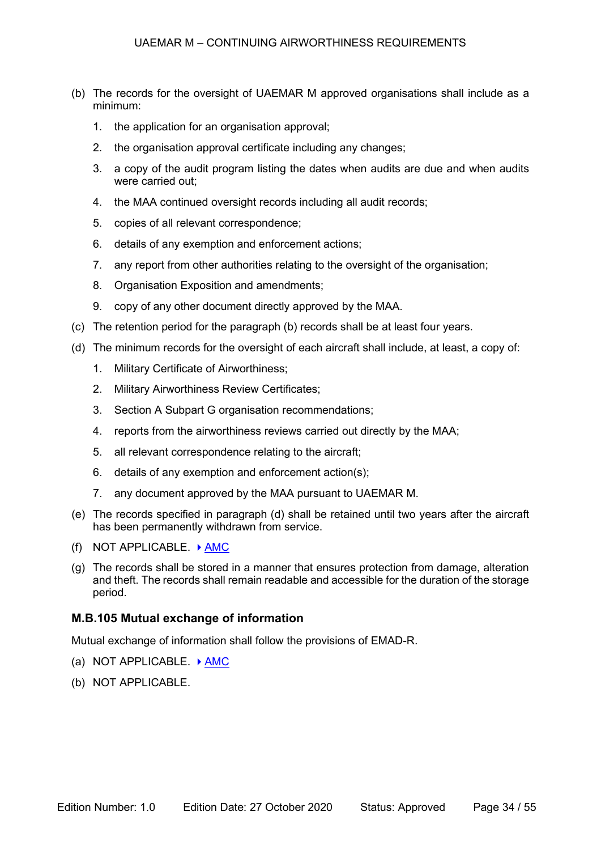- (b) The records for the oversight of UAEMAR M approved organisations shall include as a minimum:
	- 1. the application for an organisation approval;
	- 2. the organisation approval certificate including any changes;
	- 3. a copy of the audit program listing the dates when audits are due and when audits were carried out;
	- 4. the MAA continued oversight records including all audit records;
	- 5. copies of all relevant correspondence;
	- 6. details of any exemption and enforcement actions;
	- 7. any report from other authorities relating to the oversight of the organisation;
	- 8. Organisation Exposition and amendments:
	- 9. copy of any other document directly approved by the MAA.
- (c) The retention period for the paragraph (b) records shall be at least four years.
- (d) The minimum records for the oversight of each aircraft shall include, at least, a copy of:
	- 1. Military Certificate of Airworthiness;
	- 2. Military Airworthiness Review Certificates;
	- 3. Section A Subpart G organisation recommendations;
	- 4. reports from the airworthiness reviews carried out directly by the MAA;
	- 5. all relevant correspondence relating to the aircraft;
	- 6. details of any exemption and enforcement action(s);
	- 7. any document approved by the MAA pursuant to UAEMAR M.
- (e) The records specified in paragraph (d) shall be retained until two years after the aircraft has been permanently withdrawn from service.
- (f) NOT APPLICABLE.  $\triangleright$  AMC
- (g) The records shall be stored in a manner that ensures protection from damage, alteration and theft. The records shall remain readable and accessible for the duration of the storage period.

## <span id="page-33-0"></span>**M.B.105 Mutual exchange of information**

Mutual exchange of information shall follow the provisions of EMAD-R.

- (a) NOT APPLICABLE.  $\rightarrow$  AMC
- (b) NOT APPLICABLE.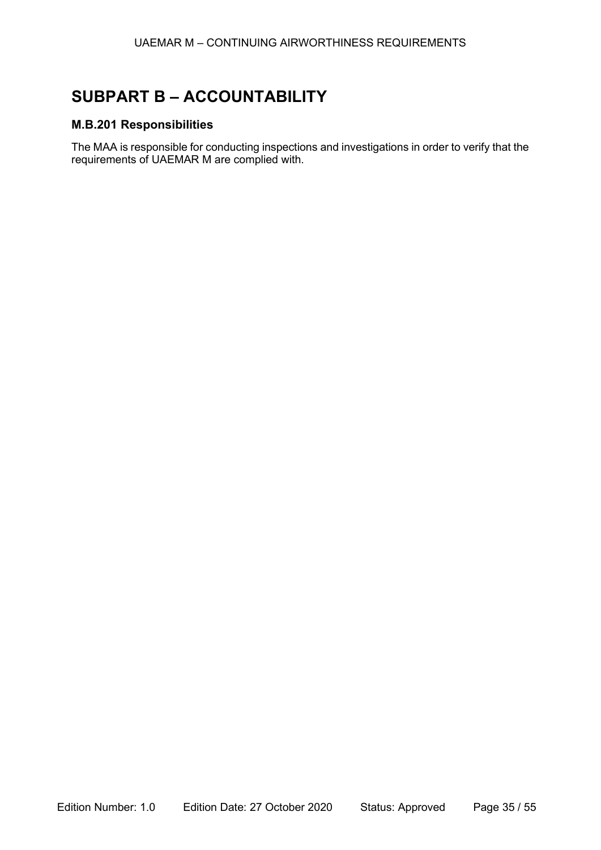# <span id="page-34-0"></span>**SUBPART B – ACCOUNTABILITY**

# <span id="page-34-1"></span>**M.B.201 Responsibilities**

The MAA is responsible for conducting inspections and investigations in order to verify that the requirements of UAEMAR M are complied with.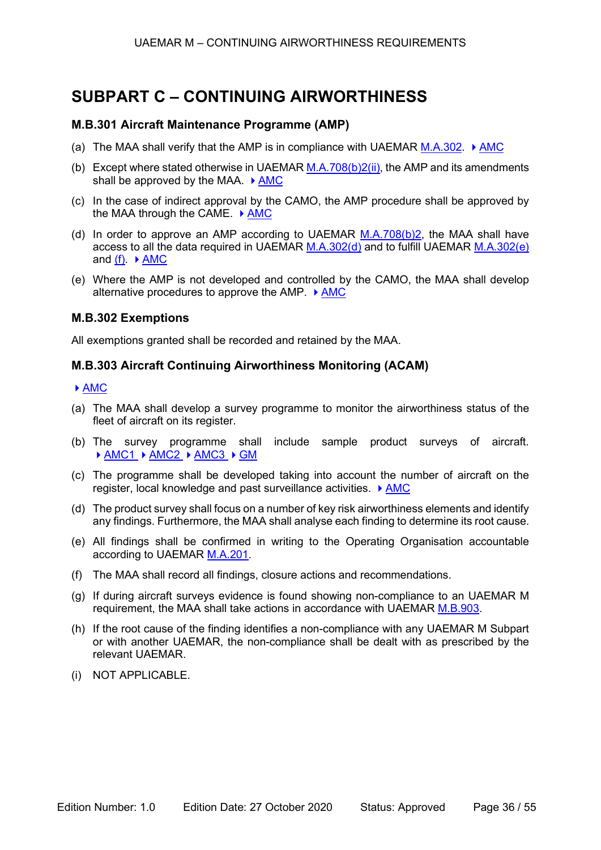# <span id="page-35-0"></span>**SUBPART C – CONTINUING AIRWORTHINESS**

### <span id="page-35-1"></span>**M.B.301 Aircraft Maintenance Programme (AMP)**

- (a) The MAA shall verify that the AMP is in compliance with UAEMAR  $M.A.302.$  AMC
- (b) Except where stated otherwise in UAEMAR  $M.A.708(b)2(ii)$ , the AMP and its amendments shall be approved by the MAA.  $\triangleright$  AMC
- (c) In the case of indirect approval by the CAMO, the AMP procedure shall be approved by the MAA through the CAME.  $\rightarrow$  AMC
- (d) In order to approve an AMP according to UAEMAR  $M.A.708(b)2$ , the MAA shall have access to all the data required in UAEMAR M.A.302(d) and to fulfill UAEMAR M.A.302(e) and (f). AMC
- (e) Where the AMP is not developed and controlled by the CAMO, the MAA shall develop alternative procedures to approve the AMP.  $\triangleright$  AMC

### <span id="page-35-2"></span>**M.B.302 Exemptions**

All exemptions granted shall be recorded and retained by the MAA.

### <span id="page-35-3"></span>**M.B.303 Aircraft Continuing Airworthiness Monitoring (ACAM)**

#### AMC

- (a) The MAA shall develop a survey programme to monitor the airworthiness status of the fleet of aircraft on its register.
- (b) The survey programme shall include sample product surveys of aircraft. ▶ AMC1 ▶ AMC2 ▶ AMC3 ▶ GM
- (c) The programme shall be developed taking into account the number of aircraft on the register, local knowledge and past surveillance activities.  $\rightarrow$  AMC
- (d) The product survey shall focus on a number of key risk airworthiness elements and identify any findings. Furthermore, the MAA shall analyse each finding to determine its root cause.
- (e) All findings shall be confirmed in writing to the Operating Organisation accountable according to UAEMAR M.A.201.
- (f) The MAA shall record all findings, closure actions and recommendations.
- (g) If during aircraft surveys evidence is found showing non-compliance to an UAEMAR M requirement, the MAA shall take actions in accordance with UAEMAR M.B.903.
- (h) If the root cause of the finding identifies a non-compliance with any UAEMAR M Subpart or with another UAEMAR, the non-compliance shall be dealt with as prescribed by the relevant UAEMAR.
- (i) NOT APPLICABLE.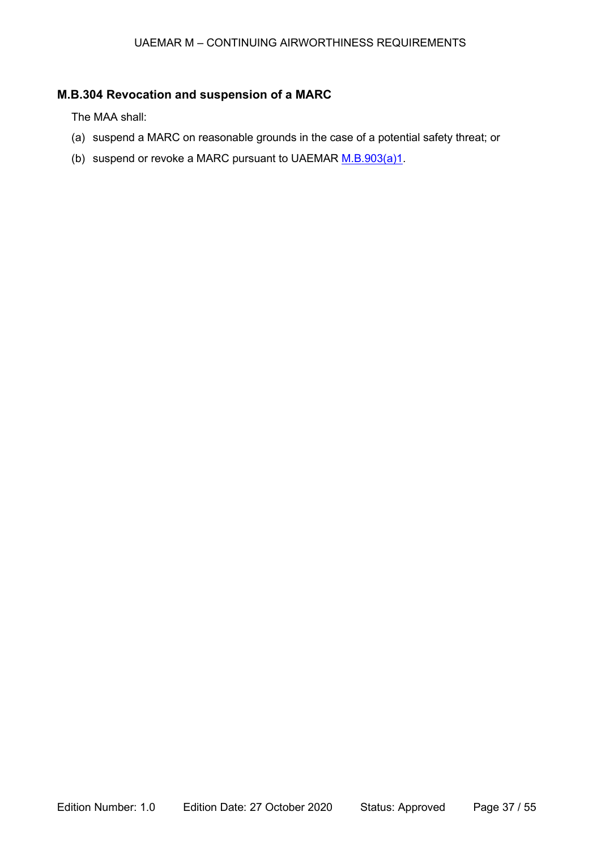## <span id="page-36-0"></span>**M.B.304 Revocation and suspension of a MARC**

The MAA shall:

- (a) suspend a MARC on reasonable grounds in the case of a potential safety threat; or
- (b) suspend or revoke a MARC pursuant to UAEMAR M.B.903(a)1.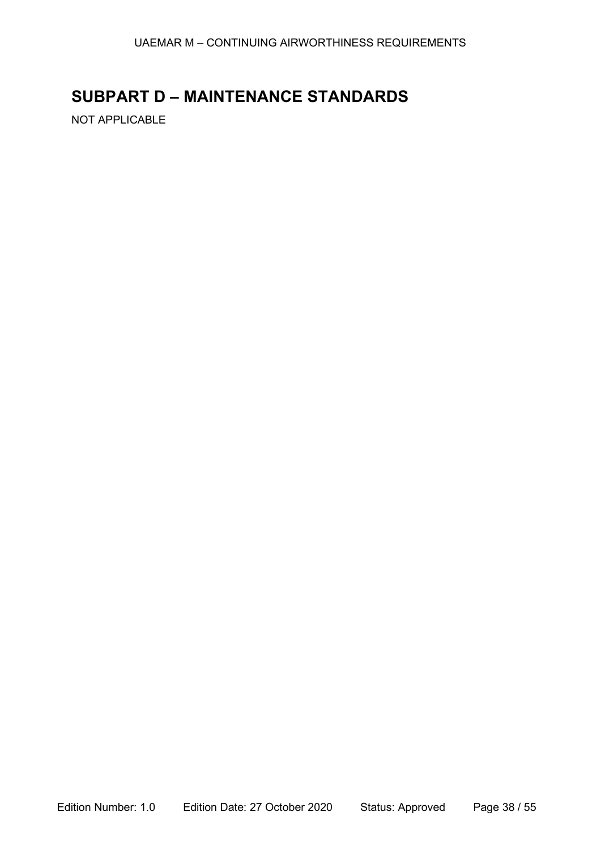# <span id="page-37-0"></span>**SUBPART D – MAINTENANCE STANDARDS**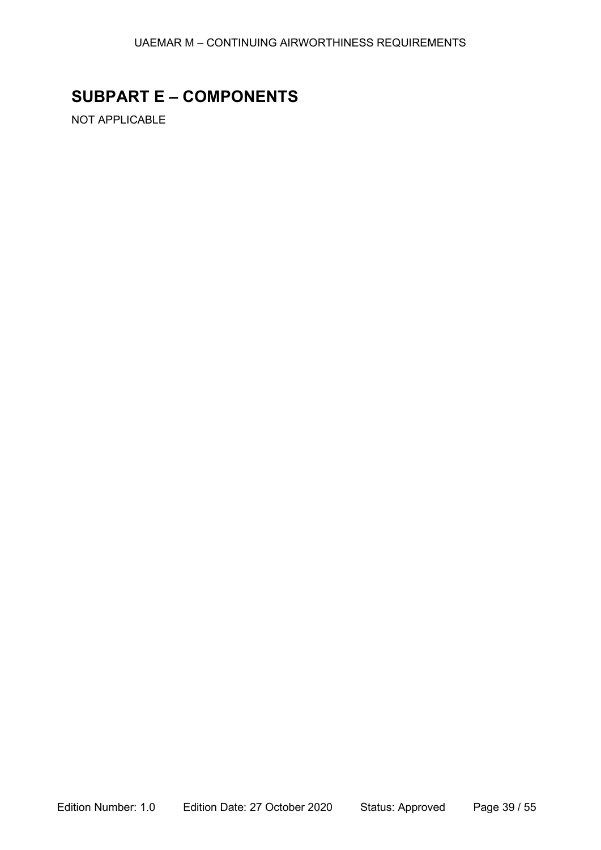# <span id="page-38-0"></span>**SUBPART E – COMPONENTS**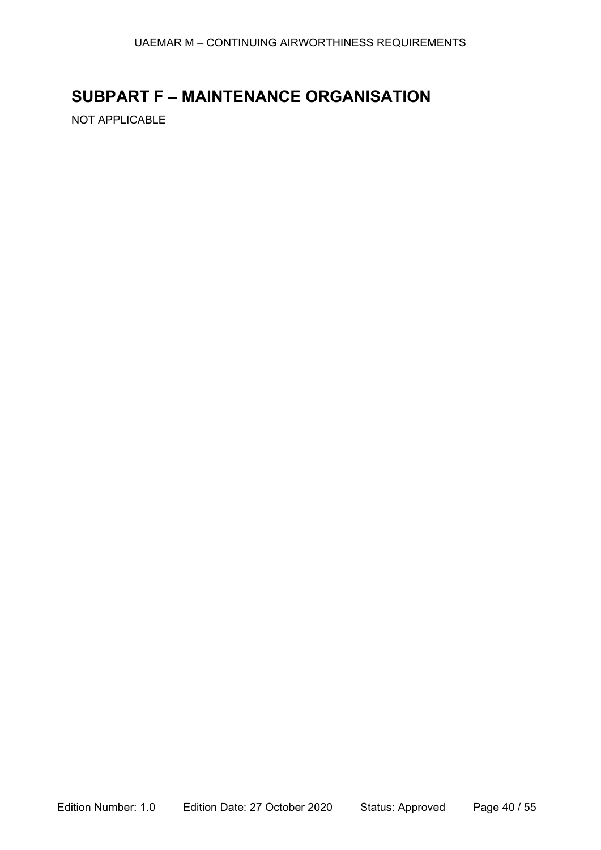# <span id="page-39-0"></span>**SUBPART F – MAINTENANCE ORGANISATION**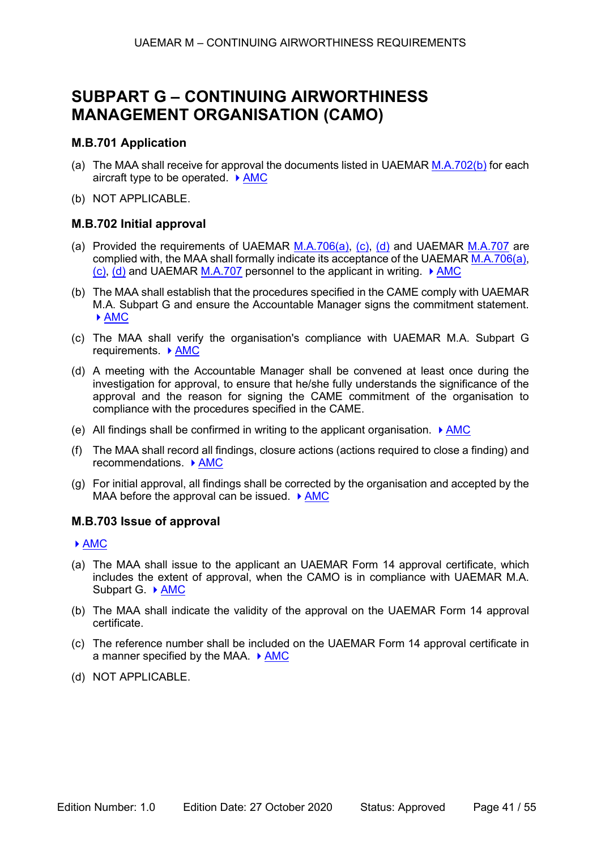# <span id="page-40-0"></span>**SUBPART G – CONTINUING AIRWORTHINESS MANAGEMENT ORGANISATION (CAMO)**

### <span id="page-40-1"></span>**M.B.701 Application**

- (a) The MAA shall receive for approval the documents listed in UAEMAR M.A.702(b) for each aircraft type to be operated.  $\triangleright$  AMC
- (b) NOT APPLICABLE.

## <span id="page-40-2"></span>**M.B.702 Initial approval**

- (a) Provided the requirements of UAEMAR  $M.A.706(a)$ , (c), (d) and UAEMAR  $M.A.707$  are complied with, the MAA shall formally indicate its acceptance of the UAEMAR M.A.706(a), (c), (d) and UAEMAR M.A.707 personnel to the applicant in writing.  $\triangleright$  AMC
- (b) The MAA shall establish that the procedures specified in the CAME comply with UAEMAR M.A. Subpart G and ensure the Accountable Manager signs the commitment statement. ▶ AMC
- (c) The MAA shall verify the organisation's compliance with UAEMAR M.A. Subpart G requirements. AMC
- (d) A meeting with the Accountable Manager shall be convened at least once during the investigation for approval, to ensure that he/she fully understands the significance of the approval and the reason for signing the CAME commitment of the organisation to compliance with the procedures specified in the CAME.
- (e) All findings shall be confirmed in writing to the applicant organisation.  $\triangleright$  AMC
- (f) The MAA shall record all findings, closure actions (actions required to close a finding) and recommendations. • AMC
- (g) For initial approval, all findings shall be corrected by the organisation and accepted by the MAA before the approval can be issued.  $\triangleright$  AMC

## <span id="page-40-3"></span>**M.B.703 Issue of approval**

### $\triangleright$  AMC

- (a) The MAA shall issue to the applicant an UAEMAR Form 14 approval certificate, which includes the extent of approval, when the CAMO is in compliance with UAEMAR M.A. Subpart G. ▶ AMC
- (b) The MAA shall indicate the validity of the approval on the UAEMAR Form 14 approval certificate.
- (c) The reference number shall be included on the UAEMAR Form 14 approval certificate in a manner specified by the MAA.  $\triangleright$  AMC
- (d) NOT APPLICABLE.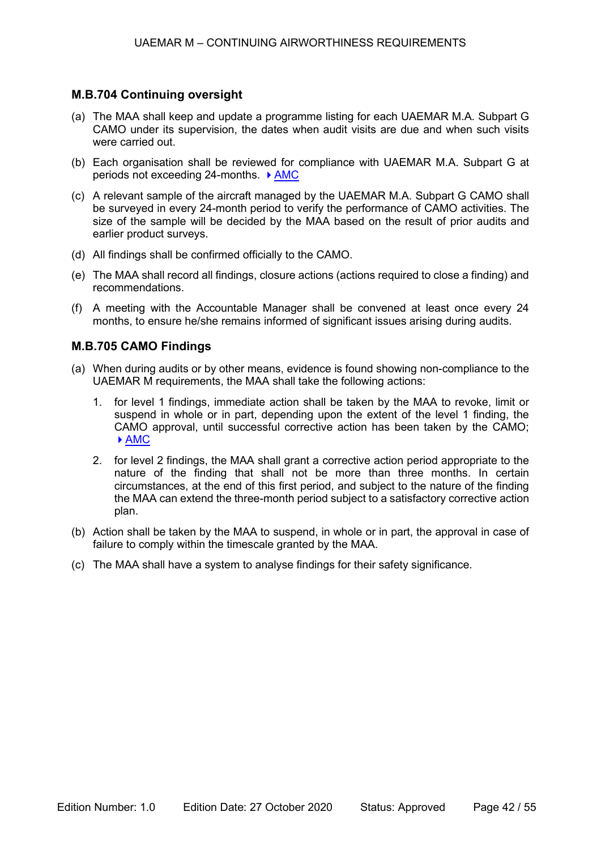### <span id="page-41-0"></span>**M.B.704 Continuing oversight**

- (a) The MAA shall keep and update a programme listing for each UAEMAR M.A. Subpart G CAMO under its supervision, the dates when audit visits are due and when such visits were carried out.
- (b) Each organisation shall be reviewed for compliance with UAEMAR M.A. Subpart G at periods not exceeding 24-months. AMC
- (c) A relevant sample of the aircraft managed by the UAEMAR M.A. Subpart G CAMO shall be surveyed in every 24-month period to verify the performance of CAMO activities. The size of the sample will be decided by the MAA based on the result of prior audits and earlier product surveys.
- (d) All findings shall be confirmed officially to the CAMO.
- (e) The MAA shall record all findings, closure actions (actions required to close a finding) and recommendations.
- (f) A meeting with the Accountable Manager shall be convened at least once every 24 months, to ensure he/she remains informed of significant issues arising during audits.

### <span id="page-41-1"></span>**M.B.705 CAMO Findings**

- (a) When during audits or by other means, evidence is found showing non-compliance to the UAEMAR M requirements, the MAA shall take the following actions:
	- 1. for level 1 findings, immediate action shall be taken by the MAA to revoke, limit or suspend in whole or in part, depending upon the extent of the level 1 finding, the CAMO approval, until successful corrective action has been taken by the CAMO;  $\triangleright$  AMC
	- 2. for level 2 findings, the MAA shall grant a corrective action period appropriate to the nature of the finding that shall not be more than three months. In certain circumstances, at the end of this first period, and subject to the nature of the finding the MAA can extend the three-month period subject to a satisfactory corrective action plan.
- (b) Action shall be taken by the MAA to suspend, in whole or in part, the approval in case of failure to comply within the timescale granted by the MAA.
- (c) The MAA shall have a system to analyse findings for their safety significance.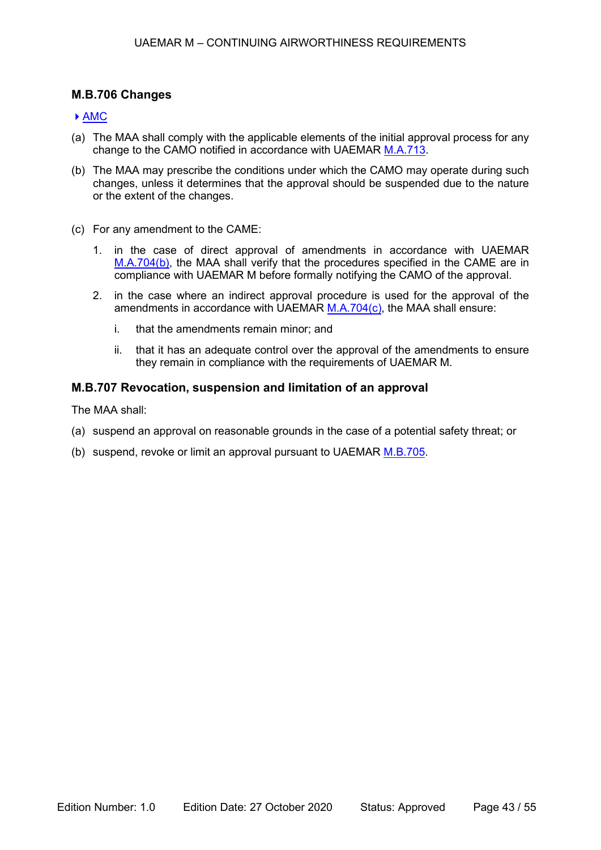# <span id="page-42-0"></span>**M.B.706 Changes**

### ▶ AMC

- (a) The MAA shall comply with the applicable elements of the initial approval process for any change to the CAMO notified in accordance with UAEMAR M.A.713.
- (b) The MAA may prescribe the conditions under which the CAMO may operate during such changes, unless it determines that the approval should be suspended due to the nature or the extent of the changes.
- (c) For any amendment to the CAME:
	- 1. in the case of direct approval of amendments in accordance with UAEMAR M.A.704(b), the MAA shall verify that the procedures specified in the CAME are in compliance with UAEMAR M before formally notifying the CAMO of the approval.
	- 2. in the case where an indirect approval procedure is used for the approval of the amendments in accordance with UAEMAR M.A.704(c), the MAA shall ensure:
		- i. that the amendments remain minor; and
		- ii. that it has an adequate control over the approval of the amendments to ensure they remain in compliance with the requirements of UAEMAR M.

### <span id="page-42-1"></span>**M.B.707 Revocation, suspension and limitation of an approval**

The MAA shall:

- (a) suspend an approval on reasonable grounds in the case of a potential safety threat; or
- (b) suspend, revoke or limit an approval pursuant to UAEMAR M.B.705.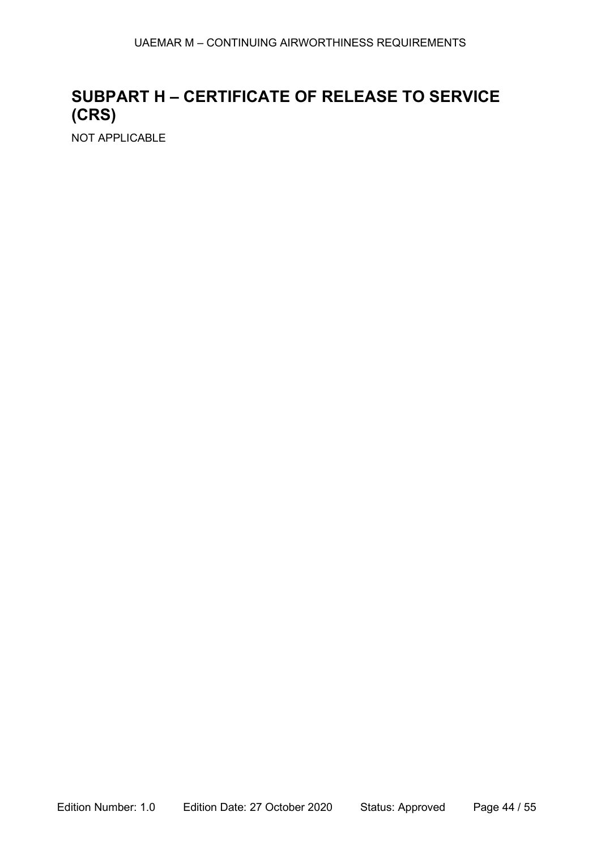# <span id="page-43-0"></span>**SUBPART H – CERTIFICATE OF RELEASE TO SERVICE (CRS)**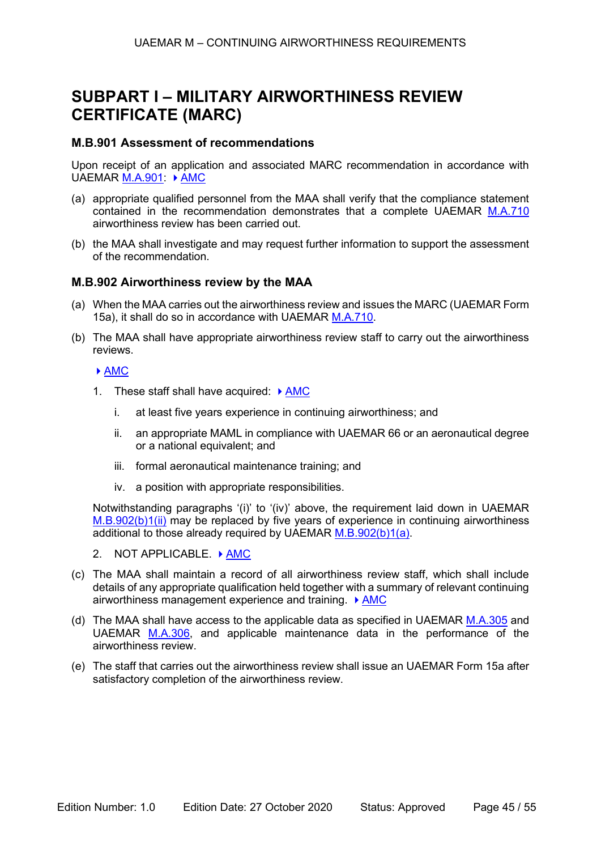# <span id="page-44-0"></span>**SUBPART I – MILITARY AIRWORTHINESS REVIEW CERTIFICATE (MARC)**

### <span id="page-44-1"></span>**M.B.901 Assessment of recommendations**

Upon receipt of an application and associated MARC recommendation in accordance with UAEMAR M.A.901 ▶ AMC

- (a) appropriate qualified personnel from the MAA shall verify that the compliance statement contained in the recommendation demonstrates that a complete UAEMAR M.A.710 airworthiness review has been carried out.
- (b) the MAA shall investigate and may request further information to support the assessment of the recommendation.

### <span id="page-44-2"></span>**M.B.902 Airworthiness review by the MAA**

- (a) When the MAA carries out the airworthiness review and issues the MARC (UAEMAR Form 15a), it shall do so in accordance with UAEMAR M.A.710.
- (b) The MAA shall have appropriate airworthiness review staff to carry out the airworthiness reviews.

### AMC

- 1. These staff shall have acquired:  $\triangleright$  AMC
	- i. at least five years experience in continuing airworthiness; and
	- ii. an appropriate MAML in compliance with UAEMAR 66 or an aeronautical degree or a national equivalent; and
	- iii. formal aeronautical maintenance training; and
	- iv. a position with appropriate responsibilities.

Notwithstanding paragraphs '(i)' to '(iv)' above, the requirement laid down in UAEMAR M.B.902(b)1(ii) may be replaced by five years of experience in continuing airworthiness additional to those already required by UAEMAR M.B.902(b)1(a).

- 2. NOT APPLICABLE. ▶ AMC
- (c) The MAA shall maintain a record of all airworthiness review staff, which shall include details of any appropriate qualification held together with a summary of relevant continuing airworthiness management experience and training.  $\rightarrow$  AMC
- (d) The MAA shall have access to the applicable data as specified in UAEMAR M.A.305 and UAEMAR M.A.306, and applicable maintenance data in the performance of the airworthiness review.
- (e) The staff that carries out the airworthiness review shall issue an UAEMAR Form 15a after satisfactory completion of the airworthiness review.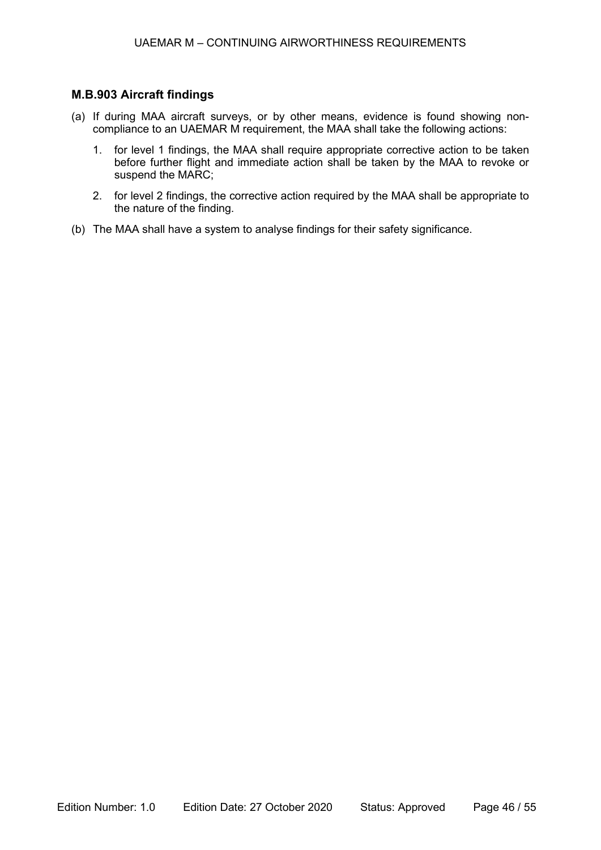### <span id="page-45-0"></span>**M.B.903 Aircraft findings**

- (a) If during MAA aircraft surveys, or by other means, evidence is found showing noncompliance to an UAEMAR M requirement, the MAA shall take the following actions:
	- 1. for level 1 findings, the MAA shall require appropriate corrective action to be taken before further flight and immediate action shall be taken by the MAA to revoke or suspend the MARC;
	- 2. for level 2 findings, the corrective action required by the MAA shall be appropriate to the nature of the finding.
- (b) The MAA shall have a system to analyse findings for their safety significance.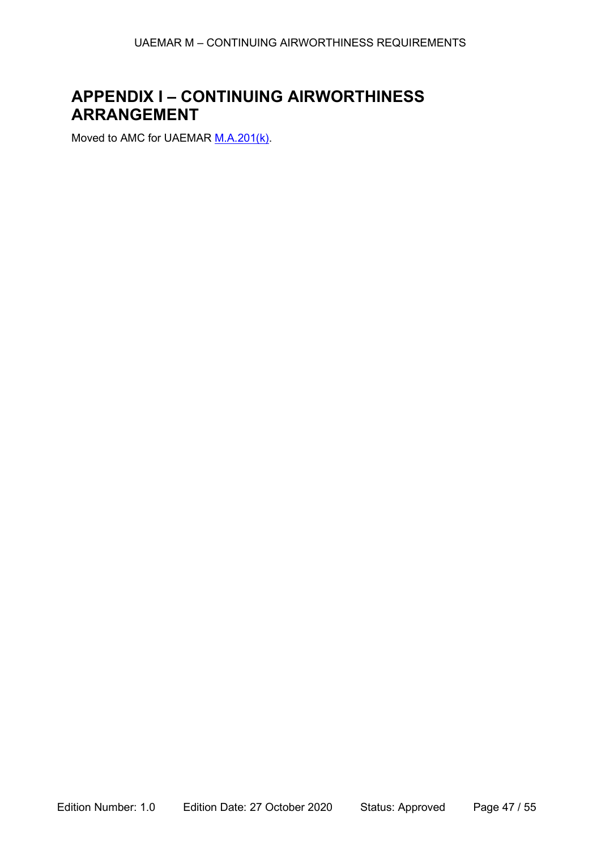# <span id="page-46-0"></span>**APPENDIX I – CONTINUING AIRWORTHINESS ARRANGEMENT**

Moved to AMC for UAEMAR M.A.201(k).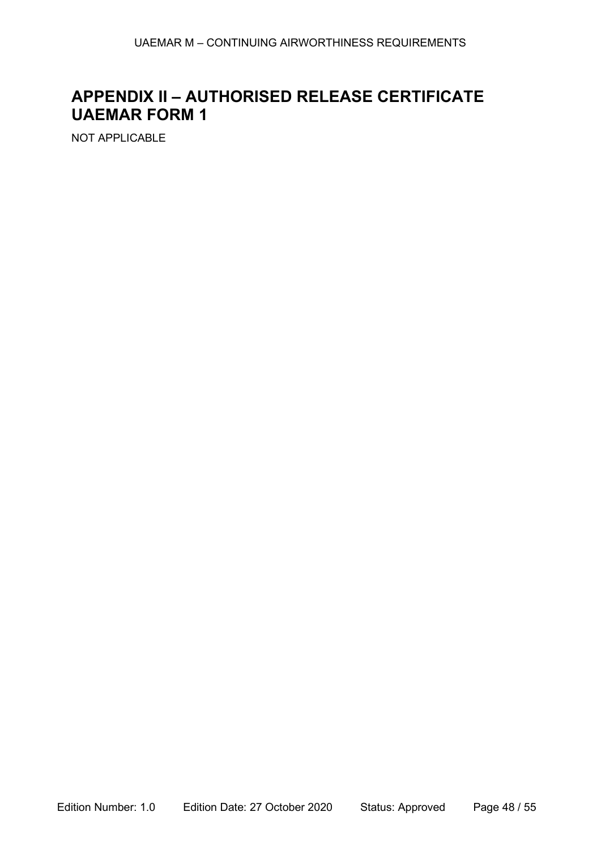# <span id="page-47-0"></span>**APPENDIX II – AUTHORISED RELEASE CERTIFICATE UAEMAR FORM 1**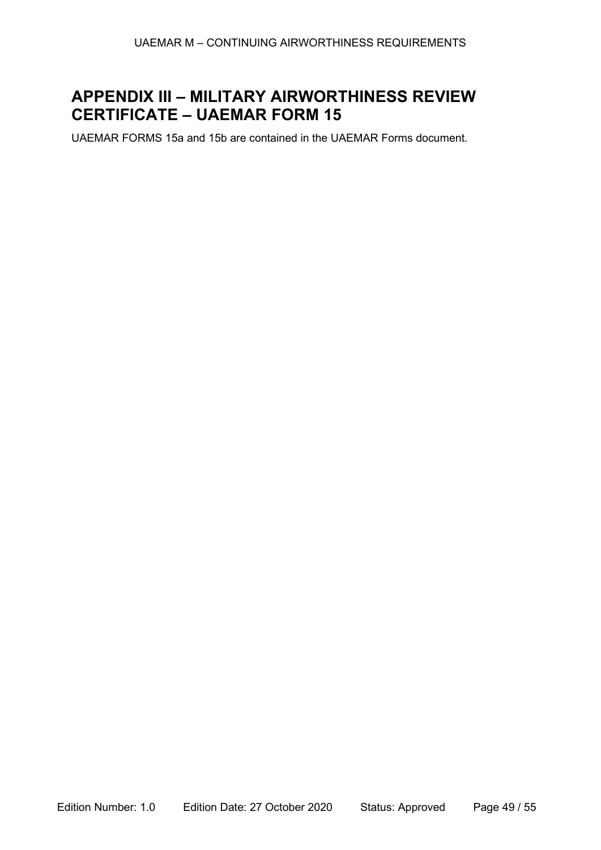# <span id="page-48-0"></span>**APPENDIX III – MILITARY AIRWORTHINESS REVIEW CERTIFICATE – UAEMAR FORM 15**

UAEMAR FORMS 15a and 15b are contained in the UAEMAR Forms document.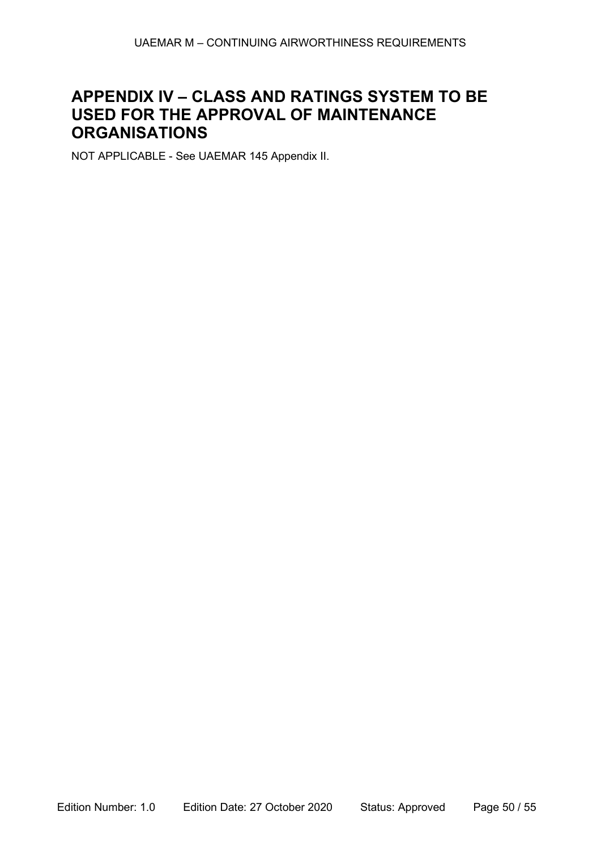# <span id="page-49-0"></span>**APPENDIX IV – CLASS AND RATINGS SYSTEM TO BE USED FOR THE APPROVAL OF MAINTENANCE ORGANISATIONS**

NOT APPLICABLE - See UAEMAR 145 Appendix II.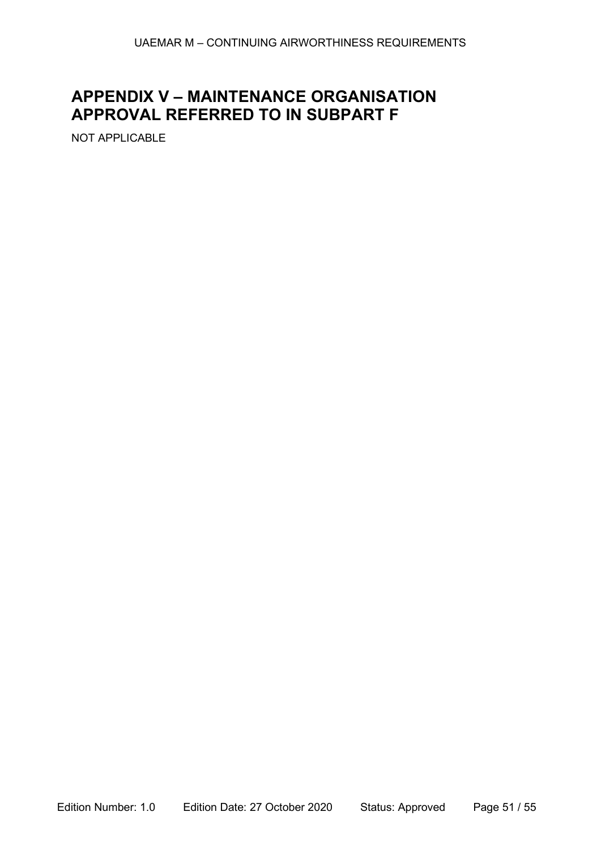# <span id="page-50-0"></span>**APPENDIX V – MAINTENANCE ORGANISATION APPROVAL REFERRED TO IN SUBPART F**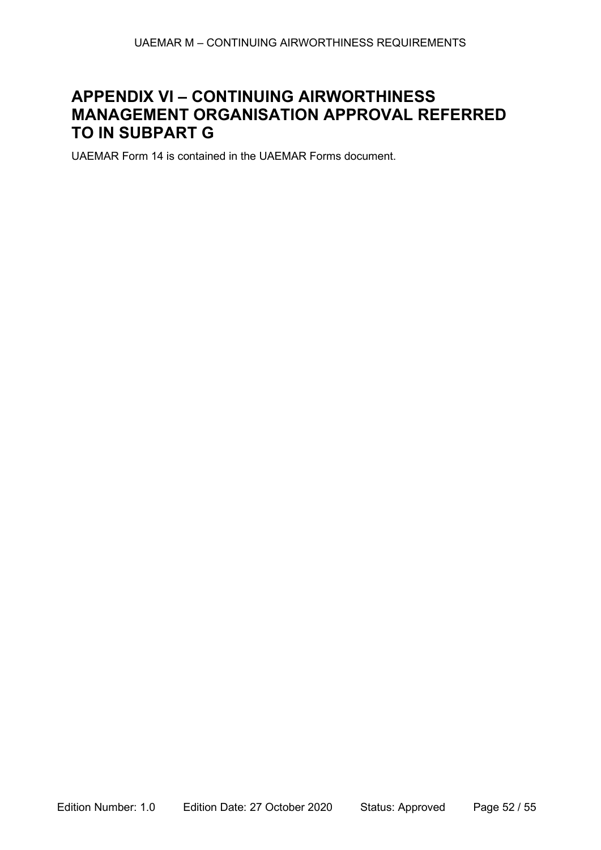# <span id="page-51-0"></span>**APPENDIX VI – CONTINUING AIRWORTHINESS MANAGEMENT ORGANISATION APPROVAL REFERRED TO IN SUBPART G**

UAEMAR Form 14 is contained in the UAEMAR Forms document.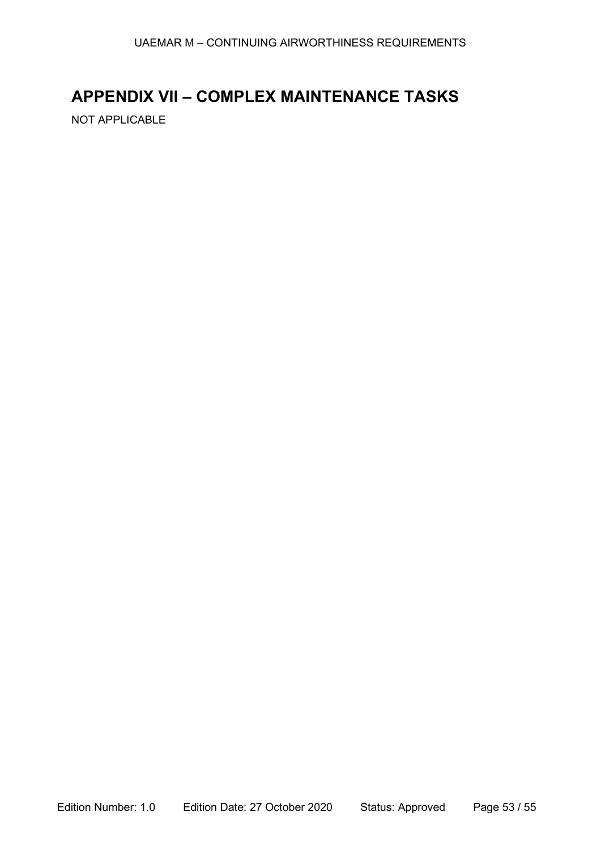# <span id="page-52-0"></span>**APPENDIX VII – COMPLEX MAINTENANCE TASKS**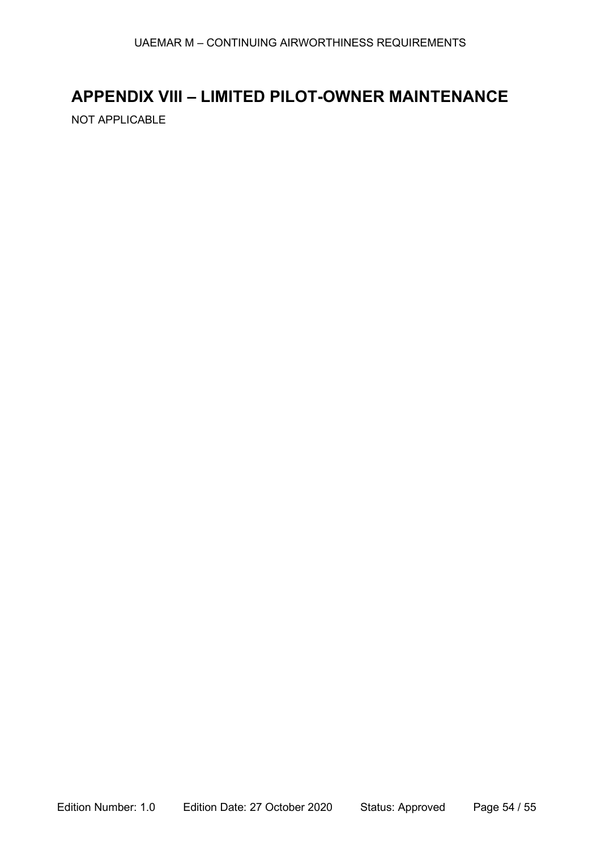# <span id="page-53-0"></span>**APPENDIX VIII – LIMITED PILOT-OWNER MAINTENANCE**